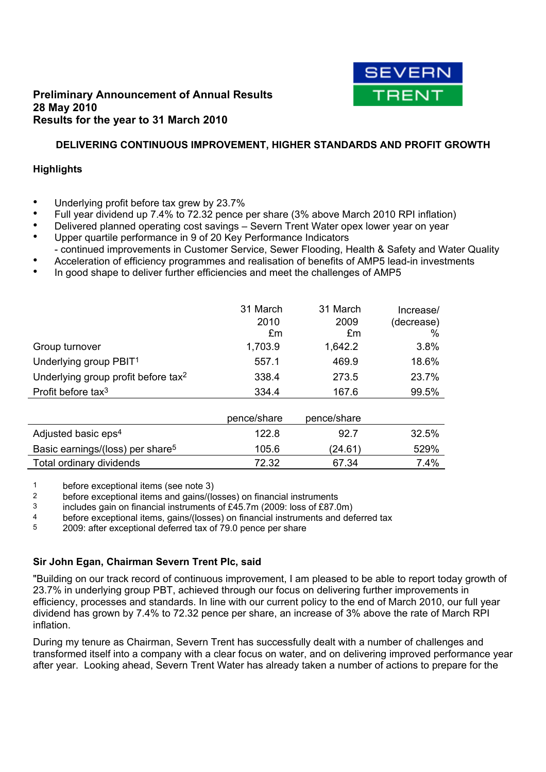

## **Preliminary Announcement of Annual Results 28 May 2010 Results for the year to 31 March 2010**

## **DELIVERING CONTINUOUS IMPROVEMENT, HIGHER STANDARDS AND PROFIT GROWTH**

## **Highlights**

- **●** Underlying profit before tax grew by 23.7%
- Full year dividend up 7.4% to 72.32 pence per share (3% above March 2010 RPI inflation)
- Delivered planned operating cost savings Severn Trent Water opex lower year on year
- Upper quartile performance in 9 of 20 Key Performance Indicators - continued improvements in Customer Service, Sewer Flooding, Health & Safety and Water Quality
- **●** Acceleration of efficiency programmes and realisation of benefits of AMP5 lead-in investments
- **●** In good shape to deliver further efficiencies and meet the challenges of AMP5

|                                                 | 31 March<br>2010<br>£m | 31 March<br>2009<br>£m | Increase/<br>(decrease)<br>% |
|-------------------------------------------------|------------------------|------------------------|------------------------------|
| Group turnover                                  | 1,703.9                | 1,642.2                | 3.8%                         |
| Underlying group PBIT <sup>1</sup>              | 557.1                  | 469.9                  | 18.6%                        |
| Underlying group profit before tax <sup>2</sup> | 338.4                  | 273.5                  | 23.7%                        |
| Profit before tax <sup>3</sup>                  | 334.4                  | 167.6                  | 99.5%                        |
|                                                 |                        |                        |                              |
|                                                 | pence/share            | pence/share            |                              |
| Adjusted basic eps <sup>4</sup>                 | 122.8                  | 92.7                   | 32.5%                        |
| Basic earnings/(loss) per share <sup>5</sup>    | 105.6                  | (24.61)                | 529%                         |
| Total ordinary dividends                        | 72.32                  | 67.34                  | 7.4%                         |

1 before exceptional items (see note 3)<br>2 before exceptional items and gains//

before exceptional items and gains/(losses) on financial instruments

3 includes gain on financial instruments of £45.7m (2009: loss of £87.0m)

4 before exceptional items, gains/(losses) on financial instruments and deferred tax<br>2009: after exceptional deferred tax of 79.0 pence per share

2009: after exceptional deferred tax of 79.0 pence per share

## **Sir John Egan, Chairman Severn Trent Plc, said**

"Building on our track record of continuous improvement, I am pleased to be able to report today growth of 23.7% in underlying group PBT, achieved through our focus on delivering further improvements in efficiency, processes and standards. In line with our current policy to the end of March 2010, our full year dividend has grown by 7.4% to 72.32 pence per share, an increase of 3% above the rate of March RPI inflation.

During my tenure as Chairman, Severn Trent has successfully dealt with a number of challenges and transformed itself into a company with a clear focus on water, and on delivering improved performance year after year. Looking ahead, Severn Trent Water has already taken a number of actions to prepare for the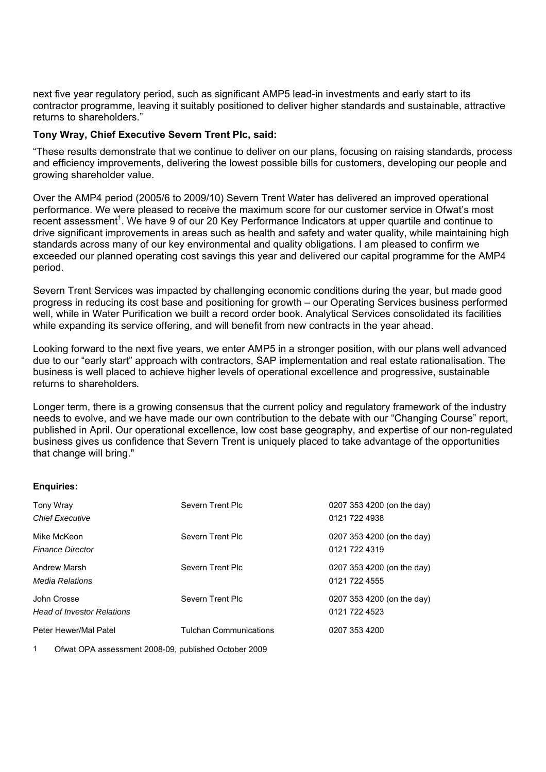next five year regulatory period, such as significant AMP5 lead-in investments and early start to its contractor programme, leaving it suitably positioned to deliver higher standards and sustainable, attractive returns to shareholders."

### **Tony Wray, Chief Executive Severn Trent Plc, said:**

"These results demonstrate that we continue to deliver on our plans, focusing on raising standards, process and efficiency improvements, delivering the lowest possible bills for customers, developing our people and growing shareholder value.

Over the AMP4 period (2005/6 to 2009/10) Severn Trent Water has delivered an improved operational performance. We were pleased to receive the maximum score for our customer service in Ofwat's most recent assessment<sup>1</sup>. We have 9 of our 20 Key Performance Indicators at upper quartile and continue to drive significant improvements in areas such as health and safety and water quality, while maintaining high standards across many of our key environmental and quality obligations. I am pleased to confirm we exceeded our planned operating cost savings this year and delivered our capital programme for the AMP4 period.

Severn Trent Services was impacted by challenging economic conditions during the year, but made good progress in reducing its cost base and positioning for growth – our Operating Services business performed well, while in Water Purification we built a record order book. Analytical Services consolidated its facilities while expanding its service offering, and will benefit from new contracts in the year ahead.

Looking forward to the next five years, we enter AMP5 in a stronger position, with our plans well advanced due to our "early start" approach with contractors, SAP implementation and real estate rationalisation. The business is well placed to achieve higher levels of operational excellence and progressive, sustainable returns to shareholders*.* 

Longer term, there is a growing consensus that the current policy and regulatory framework of the industry needs to evolve, and we have made our own contribution to the debate with our "Changing Course" report, published in April. Our operational excellence, low cost base geography, and expertise of our non-regulated business gives us confidence that Severn Trent is uniquely placed to take advantage of the opportunities that change will bring."

| <b>Enquiries:</b> |
|-------------------|
|-------------------|

| Tony Wray<br><b>Chief Executive</b>              | Severn Trent Plc              | 0207 353 4200 (on the day)<br>0121 722 4938 |
|--------------------------------------------------|-------------------------------|---------------------------------------------|
| Mike McKeon<br><b>Finance Director</b>           | Severn Trent Plc              | 0207 353 4200 (on the day)<br>0121 722 4319 |
| <b>Andrew Marsh</b><br>Media Relations           | Severn Trent Plc              | 0207 353 4200 (on the day)<br>0121 722 4555 |
| John Crosse<br><b>Head of Investor Relations</b> | Severn Trent Plc              | 0207 353 4200 (on the day)<br>0121 722 4523 |
| Peter Hewer/Mal Patel                            | <b>Tulchan Communications</b> | 0207 353 4200                               |

1 Ofwat OPA assessment 2008-09, published October 2009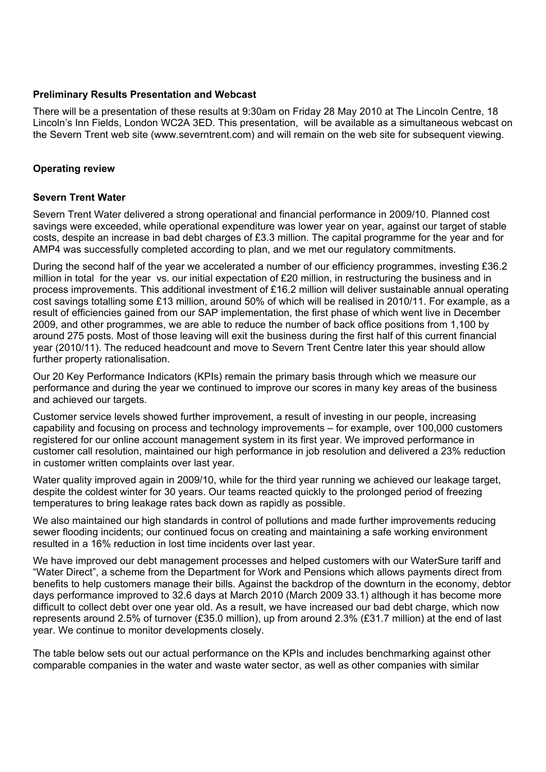## **Preliminary Results Presentation and Webcast**

There will be a presentation of these results at 9:30am on Friday 28 May 2010 at The Lincoln Centre, 18 Lincoln's Inn Fields, London WC2A 3ED. This presentation, will be available as a simultaneous webcast on the Severn Trent web site (www.severntrent.com) and will remain on the web site for subsequent viewing.

## **Operating review**

### **Severn Trent Water**

Severn Trent Water delivered a strong operational and financial performance in 2009/10. Planned cost savings were exceeded, while operational expenditure was lower year on year, against our target of stable costs, despite an increase in bad debt charges of £3.3 million. The capital programme for the year and for AMP4 was successfully completed according to plan, and we met our regulatory commitments.

During the second half of the year we accelerated a number of our efficiency programmes, investing £36.2 million in total for the year vs. our initial expectation of £20 million, in restructuring the business and in process improvements. This additional investment of £16.2 million will deliver sustainable annual operating cost savings totalling some £13 million, around 50% of which will be realised in 2010/11. For example, as a result of efficiencies gained from our SAP implementation, the first phase of which went live in December 2009, and other programmes, we are able to reduce the number of back office positions from 1,100 by around 275 posts. Most of those leaving will exit the business during the first half of this current financial year (2010/11). The reduced headcount and move to Severn Trent Centre later this year should allow further property rationalisation.

Our 20 Key Performance Indicators (KPIs) remain the primary basis through which we measure our performance and during the year we continued to improve our scores in many key areas of the business and achieved our targets.

Customer service levels showed further improvement, a result of investing in our people, increasing capability and focusing on process and technology improvements – for example, over 100,000 customers registered for our online account management system in its first year. We improved performance in customer call resolution, maintained our high performance in job resolution and delivered a 23% reduction in customer written complaints over last year.

Water quality improved again in 2009/10, while for the third year running we achieved our leakage target, despite the coldest winter for 30 years. Our teams reacted quickly to the prolonged period of freezing temperatures to bring leakage rates back down as rapidly as possible.

We also maintained our high standards in control of pollutions and made further improvements reducing sewer flooding incidents; our continued focus on creating and maintaining a safe working environment resulted in a 16% reduction in lost time incidents over last year.

We have improved our debt management processes and helped customers with our WaterSure tariff and "Water Direct", a scheme from the Department for Work and Pensions which allows payments direct from benefits to help customers manage their bills. Against the backdrop of the downturn in the economy, debtor days performance improved to 32.6 days at March 2010 (March 2009 33.1) although it has become more difficult to collect debt over one year old. As a result, we have increased our bad debt charge, which now represents around 2.5% of turnover (£35.0 million), up from around 2.3% (£31.7 million) at the end of last year. We continue to monitor developments closely.

The table below sets out our actual performance on the KPIs and includes benchmarking against other comparable companies in the water and waste water sector, as well as other companies with similar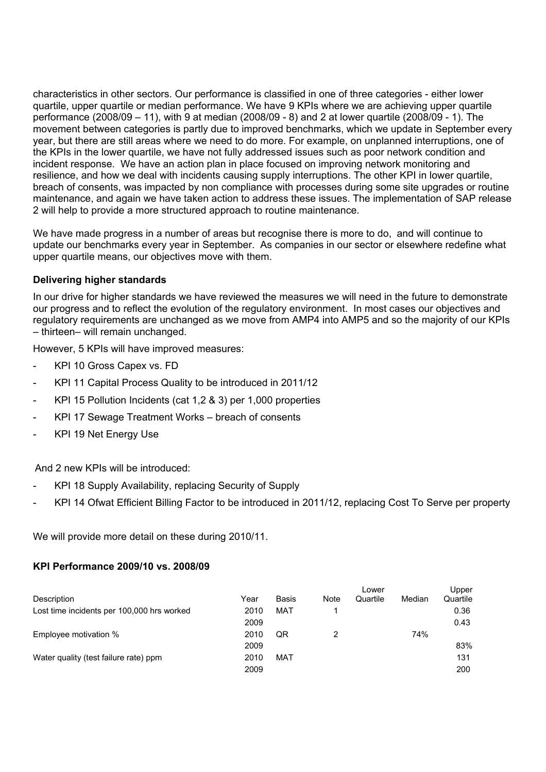characteristics in other sectors. Our performance is classified in one of three categories - either lower quartile, upper quartile or median performance. We have 9 KPIs where we are achieving upper quartile performance (2008/09 – 11), with 9 at median (2008/09 - 8) and 2 at lower quartile (2008/09 - 1). The movement between categories is partly due to improved benchmarks, which we update in September every year, but there are still areas where we need to do more. For example, on unplanned interruptions, one of the KPIs in the lower quartile, we have not fully addressed issues such as poor network condition and incident response. We have an action plan in place focused on improving network monitoring and resilience, and how we deal with incidents causing supply interruptions. The other KPI in lower quartile, breach of consents, was impacted by non compliance with processes during some site upgrades or routine maintenance, and again we have taken action to address these issues. The implementation of SAP release 2 will help to provide a more structured approach to routine maintenance.

We have made progress in a number of areas but recognise there is more to do, and will continue to update our benchmarks every year in September. As companies in our sector or elsewhere redefine what upper quartile means, our objectives move with them.

## **Delivering higher standards**

In our drive for higher standards we have reviewed the measures we will need in the future to demonstrate our progress and to reflect the evolution of the regulatory environment. In most cases our objectives and regulatory requirements are unchanged as we move from AMP4 into AMP5 and so the majority of our KPIs – thirteen– will remain unchanged.

However, 5 KPIs will have improved measures:

- KPI 10 Gross Capex vs. FD
- KPI 11 Capital Process Quality to be introduced in 2011/12
- KPI 15 Pollution Incidents (cat 1,2 & 3) per 1,000 properties
- KPI 17 Sewage Treatment Works breach of consents
- KPI 19 Net Energy Use

And 2 new KPIs will be introduced:

- KPI 18 Supply Availability, replacing Security of Supply
- KPI 14 Ofwat Efficient Billing Factor to be introduced in 2011/12, replacing Cost To Serve per property

We will provide more detail on these during 2010/11.

### **KPI Performance 2009/10 vs. 2008/09**

|                                            |      |              |      | Lower    |        | Upper    |
|--------------------------------------------|------|--------------|------|----------|--------|----------|
| Description                                | Year | <b>Basis</b> | Note | Quartile | Median | Quartile |
| Lost time incidents per 100,000 hrs worked | 2010 | MAT          |      |          |        | 0.36     |
|                                            | 2009 |              |      |          |        | 0.43     |
| Employee motivation %                      | 2010 | QR           |      |          | 74%    |          |
|                                            | 2009 |              |      |          |        | 83%      |
| Water quality (test failure rate) ppm      | 2010 | MAT          |      |          |        | 131      |
|                                            | 2009 |              |      |          |        | 200      |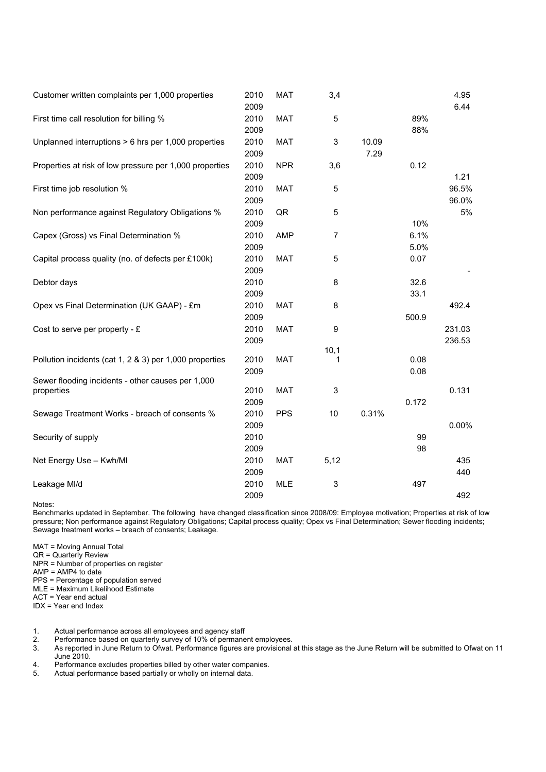| Customer written complaints per 1,000 properties                | 2010<br>2009         | <b>MAT</b> | 3,4            |               |              | 4.95<br>6.44     |
|-----------------------------------------------------------------|----------------------|------------|----------------|---------------|--------------|------------------|
| First time call resolution for billing %                        | 2010<br>2009         | <b>MAT</b> | 5              |               | 89%<br>88%   |                  |
| Unplanned interruptions > 6 hrs per 1,000 properties            | 2010<br>2009         | <b>MAT</b> | 3              | 10.09<br>7.29 |              |                  |
| Properties at risk of low pressure per 1,000 properties         | 2010<br>2009         | <b>NPR</b> | 3,6            |               | 0.12         | 1.21             |
| First time job resolution %                                     | 2010<br>2009         | <b>MAT</b> | 5              |               |              | 96.5%<br>96.0%   |
| Non performance against Regulatory Obligations %                | 2010<br>2009         | QR         | 5              |               | 10%          | 5%               |
| Capex (Gross) vs Final Determination %                          | 2010<br>2009         | <b>AMP</b> | $\overline{7}$ |               | 6.1%<br>5.0% |                  |
| Capital process quality (no. of defects per £100k)              | 2010<br>2009         | <b>MAT</b> | 5              |               | 0.07         |                  |
| Debtor days                                                     | 2010<br>2009         |            | 8              |               | 32.6<br>33.1 |                  |
| Opex vs Final Determination (UK GAAP) - £m                      | 2010<br>2009         | <b>MAT</b> | 8              |               | 500.9        | 492.4            |
| Cost to serve per property - $E$                                | 2010<br>2009         | <b>MAT</b> | 9              |               |              | 231.03<br>236.53 |
| Pollution incidents (cat 1, 2 & 3) per 1,000 properties         | 2010<br>2009         | <b>MAT</b> | 10,1<br>1      |               | 0.08<br>0.08 |                  |
| Sewer flooding incidents - other causes per 1,000<br>properties | 2010                 | <b>MAT</b> | $\mathsf 3$    |               |              | 0.131            |
| Sewage Treatment Works - breach of consents %                   | 2009<br>2010<br>2009 | <b>PPS</b> | 10             | 0.31%         | 0.172        | 0.00%            |
| Security of supply                                              | 2010<br>2009         |            |                |               | 99<br>98     |                  |
| Net Energy Use - Kwh/MI                                         | 2010<br>2009         | <b>MAT</b> | 5,12           |               |              | 435<br>440       |
| Leakage MI/d                                                    | 2010<br>2009         | <b>MLE</b> | 3              |               | 497          | 492              |

Notes:

Benchmarks updated in September. The following have changed classification since 2008/09: Employee motivation; Properties at risk of low pressure; Non performance against Regulatory Obligations; Capital process quality; Opex vs Final Determination; Sewer flooding incidents; Sewage treatment works – breach of consents; Leakage.

MAT = Moving Annual Total

QR = Quarterly Review

NPR = Number of properties on register

 $AMP = AMP4$  to date

PPS = Percentage of population served

MLE = Maximum Likelihood Estimate

ACT = Year end actual

IDX = Year end Index

1. Actual performance across all employees and agency staff

2. Performance based on quarterly survey of 10% of permanent employees.

3. As report in Interactive Survey and survey of 10% of permanent employees.<br>3. As reported in June Return to Ofwat. Performance figures are provisional at this stage as the June Return will be submitted to Ofwat on 11 June 2010.

4. Performance excludes properties billed by other water companies.<br>5. Actual performance based partially or wholly on internal data.

Actual performance based partially or wholly on internal data.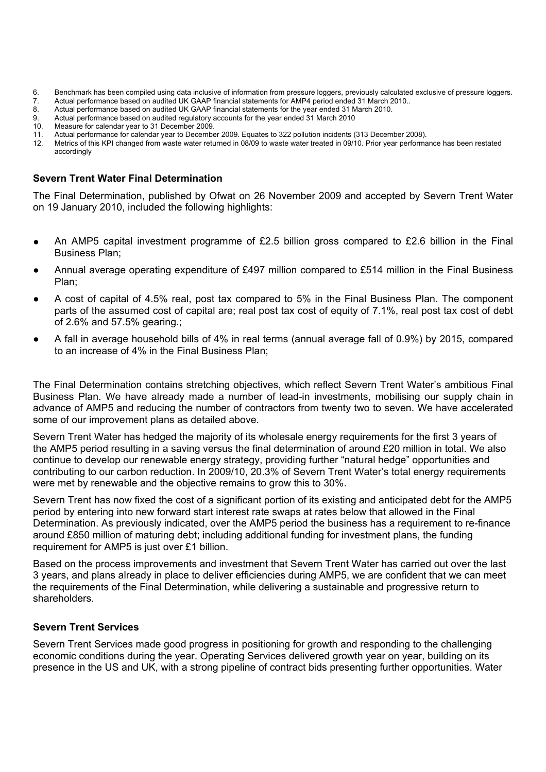- 6. Benchmark has been compiled using data inclusive of information from pressure loggers, previously calculated exclusive of pressure loggers.
- 7. Actual performance based on audited UK GAAP financial statements for AMP4 period ended 31 March 2010..
- 8. Actual performance based on audited UK GAAP financial statements for the year ended 31 March 2010.
- 9. Actual performance based on audited regulatory accounts for the year ended 31 March 2010
- Measure for calendar year to 31 December 2009.
- 11. Actual performance for calendar year to December 2009. Equates to 322 pollution incidents (313 December 2008).
- 12. Metrics of this KPI changed from waste water returned in 08/09 to waste water treated in 09/10. Prior year performance has been restated accordingly

### **Severn Trent Water Final Determination**

The Final Determination, published by Ofwat on 26 November 2009 and accepted by Severn Trent Water on 19 January 2010, included the following highlights:

- **●** An AMP5 capital investment programme of £2.5 billion gross compared to £2.6 billion in the Final Business Plan;
- **●** Annual average operating expenditure of £497 million compared to £514 million in the Final Business Plan;
- **●** A cost of capital of 4.5% real, post tax compared to 5% in the Final Business Plan. The component parts of the assumed cost of capital are; real post tax cost of equity of 7.1%, real post tax cost of debt of 2.6% and 57.5% gearing.;
- **●** A fall in average household bills of 4% in real terms (annual average fall of 0.9%) by 2015, compared to an increase of 4% in the Final Business Plan;

The Final Determination contains stretching objectives, which reflect Severn Trent Water's ambitious Final Business Plan. We have already made a number of lead-in investments, mobilising our supply chain in advance of AMP5 and reducing the number of contractors from twenty two to seven. We have accelerated some of our improvement plans as detailed above.

Severn Trent Water has hedged the majority of its wholesale energy requirements for the first 3 years of the AMP5 period resulting in a saving versus the final determination of around £20 million in total. We also continue to develop our renewable energy strategy, providing further "natural hedge" opportunities and contributing to our carbon reduction. In 2009/10, 20.3% of Severn Trent Water's total energy requirements were met by renewable and the objective remains to grow this to 30%.

Severn Trent has now fixed the cost of a significant portion of its existing and anticipated debt for the AMP5 period by entering into new forward start interest rate swaps at rates below that allowed in the Final Determination. As previously indicated, over the AMP5 period the business has a requirement to re-finance around £850 million of maturing debt; including additional funding for investment plans, the funding requirement for AMP5 is just over £1 billion.

Based on the process improvements and investment that Severn Trent Water has carried out over the last 3 years, and plans already in place to deliver efficiencies during AMP5, we are confident that we can meet the requirements of the Final Determination, while delivering a sustainable and progressive return to shareholders.

## **Severn Trent Services**

Severn Trent Services made good progress in positioning for growth and responding to the challenging economic conditions during the year. Operating Services delivered growth year on year, building on its presence in the US and UK, with a strong pipeline of contract bids presenting further opportunities. Water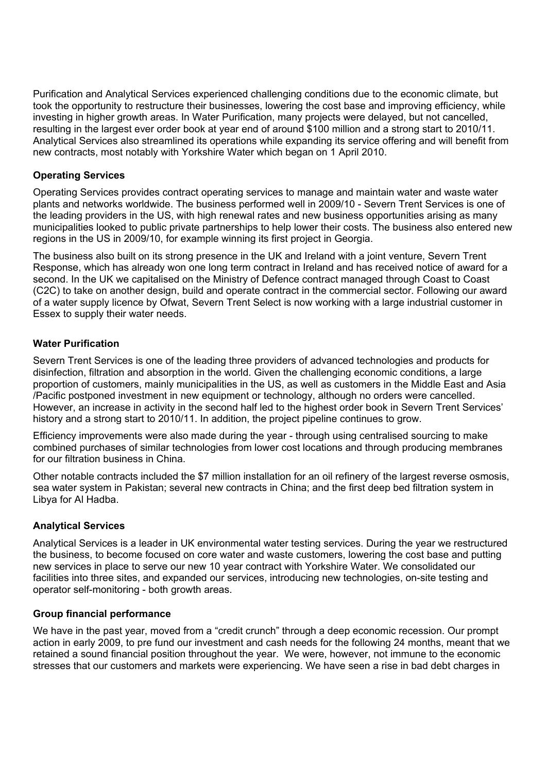Purification and Analytical Services experienced challenging conditions due to the economic climate, but took the opportunity to restructure their businesses, lowering the cost base and improving efficiency, while investing in higher growth areas. In Water Purification, many projects were delayed, but not cancelled, resulting in the largest ever order book at year end of around \$100 million and a strong start to 2010/11. Analytical Services also streamlined its operations while expanding its service offering and will benefit from new contracts, most notably with Yorkshire Water which began on 1 April 2010.

## **Operating Services**

Operating Services provides contract operating services to manage and maintain water and waste water plants and networks worldwide. The business performed well in 2009/10 - Severn Trent Services is one of the leading providers in the US, with high renewal rates and new business opportunities arising as many municipalities looked to public private partnerships to help lower their costs. The business also entered new regions in the US in 2009/10, for example winning its first project in Georgia.

The business also built on its strong presence in the UK and Ireland with a joint venture, Severn Trent Response, which has already won one long term contract in Ireland and has received notice of award for a second. In the UK we capitalised on the Ministry of Defence contract managed through Coast to Coast (C2C) to take on another design, build and operate contract in the commercial sector. Following our award of a water supply licence by Ofwat, Severn Trent Select is now working with a large industrial customer in Essex to supply their water needs.

## **Water Purification**

Severn Trent Services is one of the leading three providers of advanced technologies and products for disinfection, filtration and absorption in the world. Given the challenging economic conditions, a large proportion of customers, mainly municipalities in the US, as well as customers in the Middle East and Asia /Pacific postponed investment in new equipment or technology, although no orders were cancelled. However, an increase in activity in the second half led to the highest order book in Severn Trent Services' history and a strong start to 2010/11. In addition, the project pipeline continues to grow.

Efficiency improvements were also made during the year - through using centralised sourcing to make combined purchases of similar technologies from lower cost locations and through producing membranes for our filtration business in China.

Other notable contracts included the \$7 million installation for an oil refinery of the largest reverse osmosis, sea water system in Pakistan; several new contracts in China; and the first deep bed filtration system in Libya for Al Hadba.

## **Analytical Services**

Analytical Services is a leader in UK environmental water testing services. During the year we restructured the business, to become focused on core water and waste customers, lowering the cost base and putting new services in place to serve our new 10 year contract with Yorkshire Water. We consolidated our facilities into three sites, and expanded our services, introducing new technologies, on-site testing and operator self-monitoring - both growth areas.

## **Group financial performance**

We have in the past year, moved from a "credit crunch" through a deep economic recession. Our prompt action in early 2009, to pre fund our investment and cash needs for the following 24 months, meant that we retained a sound financial position throughout the year. We were, however, not immune to the economic stresses that our customers and markets were experiencing. We have seen a rise in bad debt charges in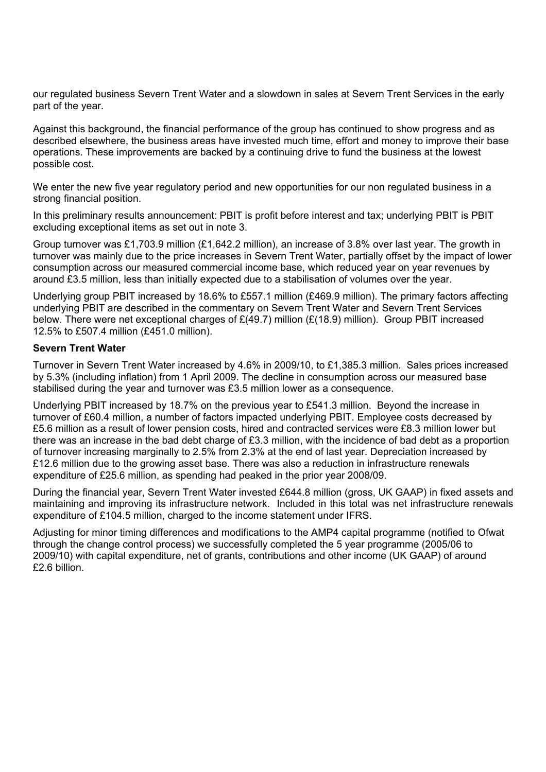our regulated business Severn Trent Water and a slowdown in sales at Severn Trent Services in the early part of the year.

Against this background, the financial performance of the group has continued to show progress and as described elsewhere, the business areas have invested much time, effort and money to improve their base operations. These improvements are backed by a continuing drive to fund the business at the lowest possible cost.

We enter the new five year regulatory period and new opportunities for our non regulated business in a strong financial position.

In this preliminary results announcement: PBIT is profit before interest and tax; underlying PBIT is PBIT excluding exceptional items as set out in note 3.

Group turnover was £1,703.9 million (£1,642.2 million), an increase of 3.8% over last year. The growth in turnover was mainly due to the price increases in Severn Trent Water, partially offset by the impact of lower consumption across our measured commercial income base, which reduced year on year revenues by around £3.5 million, less than initially expected due to a stabilisation of volumes over the year.

Underlying group PBIT increased by 18.6% to £557.1 million (£469.9 million). The primary factors affecting underlying PBIT are described in the commentary on Severn Trent Water and Severn Trent Services below. There were net exceptional charges of  $E(49.7)$  million ( $E(18.9)$  million). Group PBIT increased 12.5% to £507.4 million (£451.0 million).

### **Severn Trent Water**

Turnover in Severn Trent Water increased by 4.6% in 2009/10, to £1,385.3 million. Sales prices increased by 5.3% (including inflation) from 1 April 2009. The decline in consumption across our measured base stabilised during the year and turnover was £3.5 million lower as a consequence.

Underlying PBIT increased by 18.7% on the previous year to £541.3 million. Beyond the increase in turnover of £60.4 million, a number of factors impacted underlying PBIT. Employee costs decreased by £5.6 million as a result of lower pension costs, hired and contracted services were £8.3 million lower but there was an increase in the bad debt charge of £3.3 million, with the incidence of bad debt as a proportion of turnover increasing marginally to 2.5% from 2.3% at the end of last year. Depreciation increased by £12.6 million due to the growing asset base. There was also a reduction in infrastructure renewals expenditure of £25.6 million, as spending had peaked in the prior year 2008/09.

During the financial year, Severn Trent Water invested £644.8 million (gross, UK GAAP) in fixed assets and maintaining and improving its infrastructure network. Included in this total was net infrastructure renewals expenditure of £104.5 million, charged to the income statement under IFRS.

Adjusting for minor timing differences and modifications to the AMP4 capital programme (notified to Ofwat through the change control process) we successfully completed the 5 year programme (2005/06 to 2009/10) with capital expenditure, net of grants, contributions and other income (UK GAAP) of around £2.6 billion.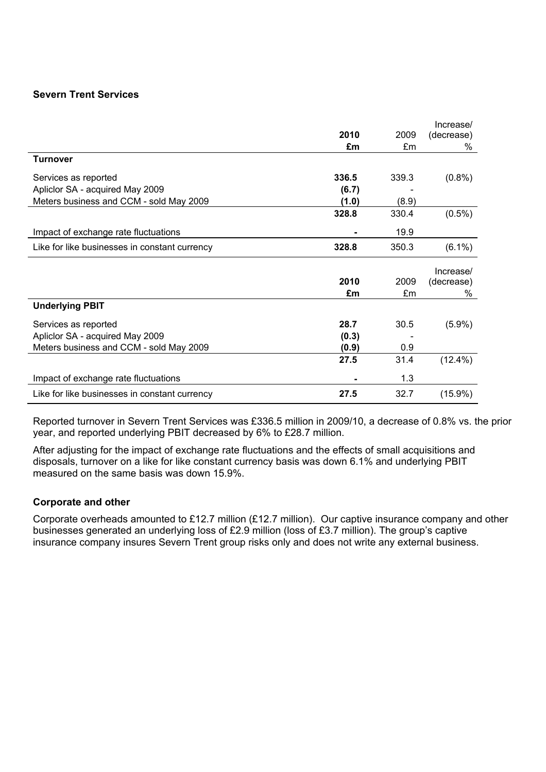## **Severn Trent Services**

|                                               |       |       | Increase/       |
|-----------------------------------------------|-------|-------|-----------------|
|                                               | 2010  | 2009  | (decrease)      |
|                                               | £m    | £m    | %               |
| <b>Turnover</b>                               |       |       |                 |
| Services as reported                          | 336.5 | 339.3 | $(0.8\%)$       |
| Apliclor SA - acquired May 2009               | (6.7) |       |                 |
| Meters business and CCM - sold May 2009       | (1.0) | (8.9) |                 |
|                                               | 328.8 | 330.4 | $(0.5\%)$       |
| Impact of exchange rate fluctuations          |       | 19.9  |                 |
| Like for like businesses in constant currency | 328.8 | 350.3 | $(6.1\%)$       |
|                                               |       |       |                 |
|                                               |       |       |                 |
|                                               | 2010  | 2009  | Increase/       |
|                                               | £m    | £m    | (decrease)<br>% |
| <b>Underlying PBIT</b>                        |       |       |                 |
| Services as reported                          | 28.7  | 30.5  | $(5.9\%)$       |
| Apliclor SA - acquired May 2009               | (0.3) |       |                 |
| Meters business and CCM - sold May 2009       | (0.9) | 0.9   |                 |
|                                               | 27.5  | 31.4  | $(12.4\%)$      |
| Impact of exchange rate fluctuations          |       | 1.3   |                 |

Reported turnover in Severn Trent Services was £336.5 million in 2009/10, a decrease of 0.8% vs. the prior year, and reported underlying PBIT decreased by 6% to £28.7 million.

After adjusting for the impact of exchange rate fluctuations and the effects of small acquisitions and disposals, turnover on a like for like constant currency basis was down 6.1% and underlying PBIT measured on the same basis was down 15.9%.

## **Corporate and other**

Corporate overheads amounted to £12.7 million (£12.7 million). Our captive insurance company and other businesses generated an underlying loss of £2.9 million (loss of £3.7 million). The group's captive insurance company insures Severn Trent group risks only and does not write any external business.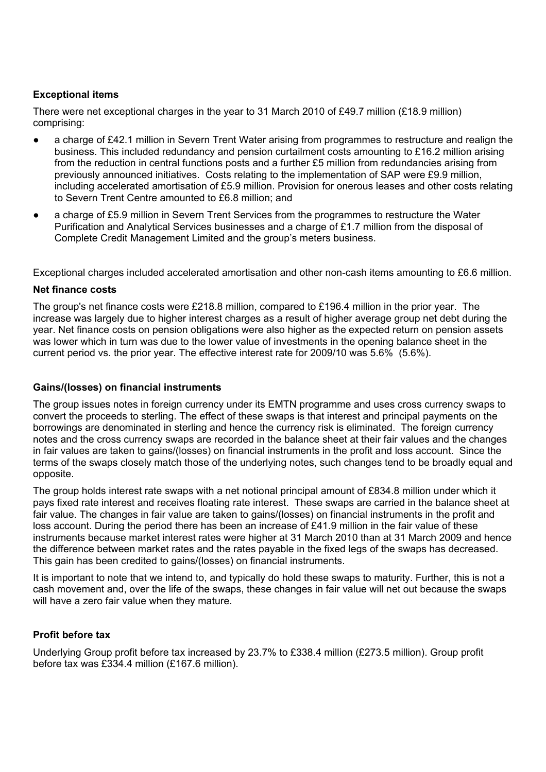## **Exceptional items**

There were net exceptional charges in the year to 31 March 2010 of £49.7 million (£18.9 million) comprising:

- a charge of £42.1 million in Severn Trent Water arising from programmes to restructure and realign the business. This included redundancy and pension curtailment costs amounting to £16.2 million arising from the reduction in central functions posts and a further £5 million from redundancies arising from previously announced initiatives. Costs relating to the implementation of SAP were £9.9 million, including accelerated amortisation of £5.9 million. Provision for onerous leases and other costs relating to Severn Trent Centre amounted to £6.8 million; and
- a charge of £5.9 million in Severn Trent Services from the programmes to restructure the Water Purification and Analytical Services businesses and a charge of £1.7 million from the disposal of Complete Credit Management Limited and the group's meters business.

Exceptional charges included accelerated amortisation and other non-cash items amounting to £6.6 million.

## **Net finance costs**

The group's net finance costs were £218.8 million, compared to £196.4 million in the prior year. The increase was largely due to higher interest charges as a result of higher average group net debt during the year. Net finance costs on pension obligations were also higher as the expected return on pension assets was lower which in turn was due to the lower value of investments in the opening balance sheet in the current period vs. the prior year. The effective interest rate for 2009/10 was 5.6% (5.6%).

### **Gains/(losses) on financial instruments**

The group issues notes in foreign currency under its EMTN programme and uses cross currency swaps to convert the proceeds to sterling. The effect of these swaps is that interest and principal payments on the borrowings are denominated in sterling and hence the currency risk is eliminated. The foreign currency notes and the cross currency swaps are recorded in the balance sheet at their fair values and the changes in fair values are taken to gains/(losses) on financial instruments in the profit and loss account. Since the terms of the swaps closely match those of the underlying notes, such changes tend to be broadly equal and opposite.

The group holds interest rate swaps with a net notional principal amount of £834.8 million under which it pays fixed rate interest and receives floating rate interest. These swaps are carried in the balance sheet at fair value. The changes in fair value are taken to gains/(losses) on financial instruments in the profit and loss account. During the period there has been an increase of £41.9 million in the fair value of these instruments because market interest rates were higher at 31 March 2010 than at 31 March 2009 and hence the difference between market rates and the rates payable in the fixed legs of the swaps has decreased. This gain has been credited to gains/(losses) on financial instruments.

It is important to note that we intend to, and typically do hold these swaps to maturity. Further, this is not a cash movement and, over the life of the swaps, these changes in fair value will net out because the swaps will have a zero fair value when they mature.

## **Profit before tax**

Underlying Group profit before tax increased by 23.7% to £338.4 million (£273.5 million). Group profit before tax was £334.4 million (£167.6 million).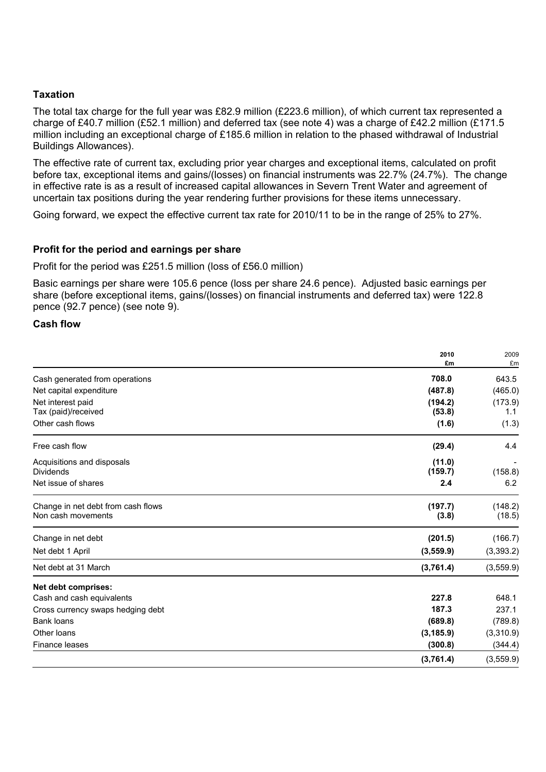### **Taxation**

The total tax charge for the full year was £82.9 million (£223.6 million), of which current tax represented a charge of £40.7 million (£52.1 million) and deferred tax (see note 4) was a charge of £42.2 million (£171.5 million including an exceptional charge of £185.6 million in relation to the phased withdrawal of Industrial Buildings Allowances).

The effective rate of current tax, excluding prior year charges and exceptional items, calculated on profit before tax, exceptional items and gains/(losses) on financial instruments was 22.7% (24.7%). The change in effective rate is as a result of increased capital allowances in Severn Trent Water and agreement of uncertain tax positions during the year rendering further provisions for these items unnecessary.

Going forward, we expect the effective current tax rate for 2010/11 to be in the range of 25% to 27%.

### **Profit for the period and earnings per share**

Profit for the period was £251.5 million (loss of £56.0 million)

Basic earnings per share were 105.6 pence (loss per share 24.6 pence). Adjusted basic earnings per share (before exceptional items, gains/(losses) on financial instruments and deferred tax) were 122.8 pence (92.7 pence) (see note 9).

### **Cash flow**

|                                    | 2010       | 2009      |
|------------------------------------|------------|-----------|
|                                    | £m         | £m        |
| Cash generated from operations     | 708.0      | 643.5     |
| Net capital expenditure            | (487.8)    | (465.0)   |
| Net interest paid                  | (194.2)    | (173.9)   |
| Tax (paid)/received                | (53.8)     | 1.1       |
| Other cash flows                   | (1.6)      | (1.3)     |
| Free cash flow                     | (29.4)     | 4.4       |
| Acquisitions and disposals         | (11.0)     |           |
| <b>Dividends</b>                   | (159.7)    | (158.8)   |
| Net issue of shares                | 2.4        | 6.2       |
| Change in net debt from cash flows | (197.7)    | (148.2)   |
| Non cash movements                 | (3.8)      | (18.5)    |
| Change in net debt                 | (201.5)    | (166.7)   |
| Net debt 1 April                   | (3, 559.9) | (3,393.2) |
| Net debt at 31 March               | (3,761.4)  | (3,559.9) |
| Net debt comprises:                |            |           |
| Cash and cash equivalents          | 227.8      | 648.1     |
| Cross currency swaps hedging debt  | 187.3      | 237.1     |
| Bank loans                         | (689.8)    | (789.8)   |
| Other loans                        | (3, 185.9) | (3,310.9) |
| Finance leases                     | (300.8)    | (344.4)   |
|                                    | (3,761.4)  | (3,559.9) |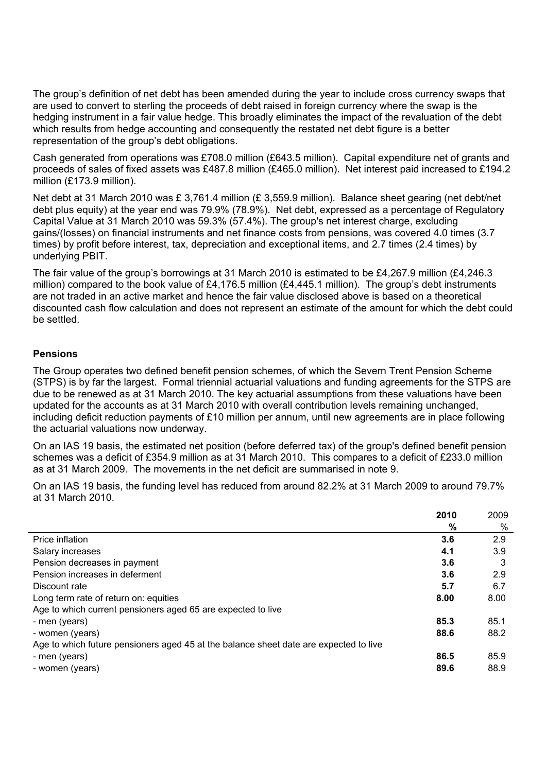The group's definition of net debt has been amended during the year to include cross currency swaps that are used to convert to sterling the proceeds of debt raised in foreign currency where the swap is the hedging instrument in a fair value hedge. This broadly eliminates the impact of the revaluation of the debt which results from hedge accounting and consequently the restated net debt figure is a better representation of the group's debt obligations.

Cash generated from operations was £708.0 million (£643.5 million). Capital expenditure net of grants and proceeds of sales of fixed assets was £487.8 million (£465.0 million). Net interest paid increased to £194.2 million (£173.9 million).

Net debt at 31 March 2010 was £ 3,761.4 million (£ 3,559.9 million). Balance sheet gearing (net debt/net debt plus equity) at the year end was 79.9% (78.9%). Net debt, expressed as a percentage of Regulatory Capital Value at 31 March 2010 was 59.3% (57.4%). The group's net interest charge, excluding gains/(losses) on financial instruments and net finance costs from pensions, was covered 4.0 times (3.7 times) by profit before interest, tax, depreciation and exceptional items, and 2.7 times (2.4 times) by underlying PBIT.

The fair value of the group's borrowings at 31 March 2010 is estimated to be £4,267.9 million (£4,246.3 million) compared to the book value of £4,176.5 million (£4,445.1 million). The group's debt instruments are not traded in an active market and hence the fair value disclosed above is based on a theoretical discounted cash flow calculation and does not represent an estimate of the amount for which the debt could be settled.

## **Pensions**

The Group operates two defined benefit pension schemes, of which the Severn Trent Pension Scheme (STPS) is by far the largest. Formal triennial actuarial valuations and funding agreements for the STPS are due to be renewed as at 31 March 2010. The key actuarial assumptions from these valuations have been updated for the accounts as at 31 March 2010 with overall contribution levels remaining unchanged, including deficit reduction payments of £10 million per annum, until new agreements are in place following the actuarial valuations now underway.

On an IAS 19 basis, the estimated net position (before deferred tax) of the group's defined benefit pension schemes was a deficit of £354.9 million as at 31 March 2010. This compares to a deficit of £233.0 million as at 31 March 2009. The movements in the net deficit are summarised in note 9.

On an IAS 19 basis, the funding level has reduced from around 82.2% at 31 March 2009 to around 79.7% at 31 March 2010.

|                                                                                       | 2010 | 2009 |
|---------------------------------------------------------------------------------------|------|------|
|                                                                                       | %    | %    |
| Price inflation                                                                       | 3.6  | 2.9  |
| Salary increases                                                                      | 4.1  | 3.9  |
| Pension decreases in payment                                                          | 3.6  | 3    |
| Pension increases in deferment                                                        | 3.6  | 2.9  |
| Discount rate                                                                         | 5.7  | 6.7  |
| Long term rate of return on: equities                                                 | 8.00 | 8.00 |
| Age to which current pensioners aged 65 are expected to live                          |      |      |
| - men (years)                                                                         | 85.3 | 85.1 |
| - women (years)                                                                       | 88.6 | 88.2 |
| Age to which future pensioners aged 45 at the balance sheet date are expected to live |      |      |
| - men (years)                                                                         | 86.5 | 85.9 |
| - women (years)                                                                       | 89.6 | 88.9 |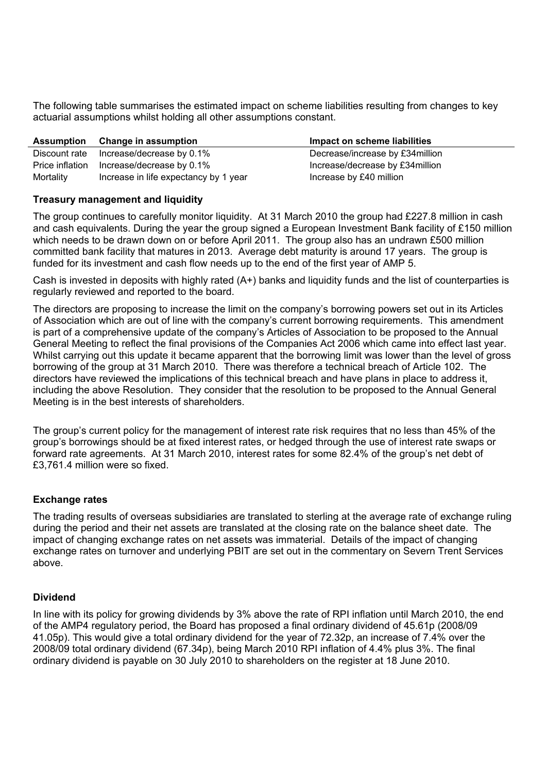The following table summarises the estimated impact on scheme liabilities resulting from changes to key actuarial assumptions whilst holding all other assumptions constant.

|                 | Assumption Change in assumption       | Impact on scheme liabilities     |
|-----------------|---------------------------------------|----------------------------------|
| Discount rate   | Increase/decrease by 0.1%             | Decrease/increase by £34 million |
| Price inflation | Increase/decrease by 0.1%             | Increase/decrease by £34 million |
| Mortality       | Increase in life expectancy by 1 year | Increase by £40 million          |

## **Treasury management and liquidity**

The group continues to carefully monitor liquidity. At 31 March 2010 the group had £227.8 million in cash and cash equivalents. During the year the group signed a European Investment Bank facility of £150 million which needs to be drawn down on or before April 2011. The group also has an undrawn £500 million committed bank facility that matures in 2013. Average debt maturity is around 17 years. The group is funded for its investment and cash flow needs up to the end of the first year of AMP 5.

Cash is invested in deposits with highly rated (A+) banks and liquidity funds and the list of counterparties is regularly reviewed and reported to the board.

The directors are proposing to increase the limit on the company's borrowing powers set out in its Articles of Association which are out of line with the company's current borrowing requirements. This amendment is part of a comprehensive update of the company's Articles of Association to be proposed to the Annual General Meeting to reflect the final provisions of the Companies Act 2006 which came into effect last year. Whilst carrying out this update it became apparent that the borrowing limit was lower than the level of gross borrowing of the group at 31 March 2010. There was therefore a technical breach of Article 102. The directors have reviewed the implications of this technical breach and have plans in place to address it, including the above Resolution. They consider that the resolution to be proposed to the Annual General Meeting is in the best interests of shareholders.

The group's current policy for the management of interest rate risk requires that no less than 45% of the group's borrowings should be at fixed interest rates, or hedged through the use of interest rate swaps or forward rate agreements. At 31 March 2010, interest rates for some 82.4% of the group's net debt of £3,761.4 million were so fixed.

## **Exchange rates**

The trading results of overseas subsidiaries are translated to sterling at the average rate of exchange ruling during the period and their net assets are translated at the closing rate on the balance sheet date. The impact of changing exchange rates on net assets was immaterial. Details of the impact of changing exchange rates on turnover and underlying PBIT are set out in the commentary on Severn Trent Services above.

## **Dividend**

In line with its policy for growing dividends by 3% above the rate of RPI inflation until March 2010, the end of the AMP4 regulatory period, the Board has proposed a final ordinary dividend of 45.61p (2008/09 41.05p). This would give a total ordinary dividend for the year of 72.32p, an increase of 7.4% over the 2008/09 total ordinary dividend (67.34p), being March 2010 RPI inflation of 4.4% plus 3%. The final ordinary dividend is payable on 30 July 2010 to shareholders on the register at 18 June 2010.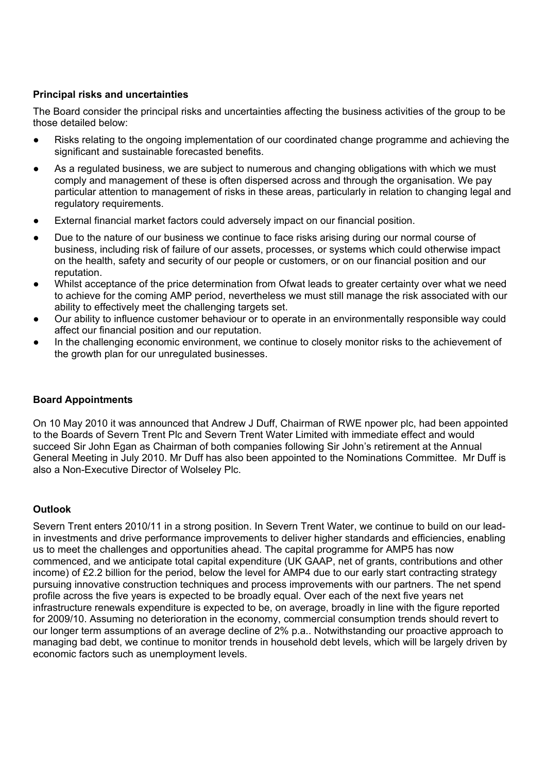## **Principal risks and uncertainties**

The Board consider the principal risks and uncertainties affecting the business activities of the group to be those detailed below:

- Risks relating to the ongoing implementation of our coordinated change programme and achieving the significant and sustainable forecasted benefits.
- As a regulated business, we are subject to numerous and changing obligations with which we must comply and management of these is often dispersed across and through the organisation. We pay particular attention to management of risks in these areas, particularly in relation to changing legal and regulatory requirements.
- External financial market factors could adversely impact on our financial position.
- Due to the nature of our business we continue to face risks arising during our normal course of business, including risk of failure of our assets, processes, or systems which could otherwise impact on the health, safety and security of our people or customers, or on our financial position and our reputation.
- Whilst acceptance of the price determination from Ofwat leads to greater certainty over what we need to achieve for the coming AMP period, nevertheless we must still manage the risk associated with our ability to effectively meet the challenging targets set.
- Our ability to influence customer behaviour or to operate in an environmentally responsible way could affect our financial position and our reputation.
- In the challenging economic environment, we continue to closely monitor risks to the achievement of the growth plan for our unregulated businesses.

## **Board Appointments**

On 10 May 2010 it was announced that Andrew J Duff, Chairman of RWE npower plc, had been appointed to the Boards of Severn Trent Plc and Severn Trent Water Limited with immediate effect and would succeed Sir John Egan as Chairman of both companies following Sir John's retirement at the Annual General Meeting in July 2010. Mr Duff has also been appointed to the Nominations Committee. Mr Duff is also a Non-Executive Director of Wolseley Plc.

## **Outlook**

Severn Trent enters 2010/11 in a strong position. In Severn Trent Water, we continue to build on our leadin investments and drive performance improvements to deliver higher standards and efficiencies, enabling us to meet the challenges and opportunities ahead. The capital programme for AMP5 has now commenced, and we anticipate total capital expenditure (UK GAAP, net of grants, contributions and other income) of £2.2 billion for the period, below the level for AMP4 due to our early start contracting strategy pursuing innovative construction techniques and process improvements with our partners. The net spend profile across the five years is expected to be broadly equal. Over each of the next five years net infrastructure renewals expenditure is expected to be, on average, broadly in line with the figure reported for 2009/10. Assuming no deterioration in the economy, commercial consumption trends should revert to our longer term assumptions of an average decline of 2% p.a.. Notwithstanding our proactive approach to managing bad debt, we continue to monitor trends in household debt levels, which will be largely driven by economic factors such as unemployment levels.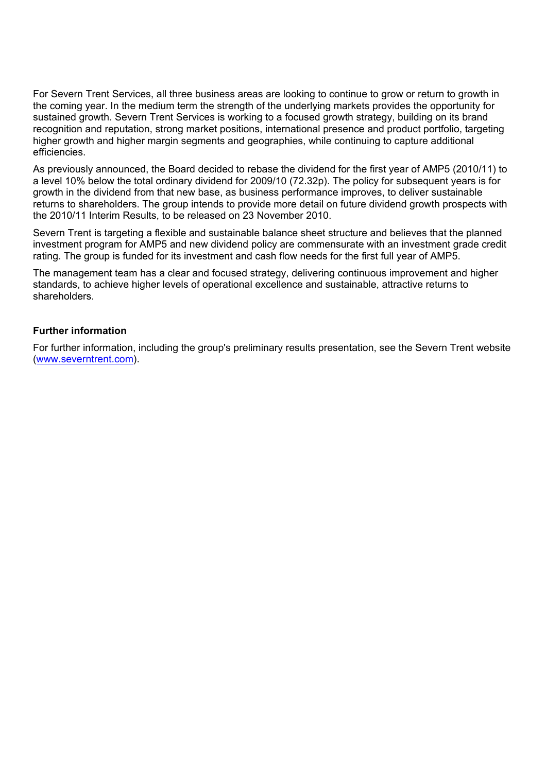For Severn Trent Services, all three business areas are looking to continue to grow or return to growth in the coming year. In the medium term the strength of the underlying markets provides the opportunity for sustained growth. Severn Trent Services is working to a focused growth strategy, building on its brand recognition and reputation, strong market positions, international presence and product portfolio, targeting higher growth and higher margin segments and geographies, while continuing to capture additional efficiencies.

As previously announced, the Board decided to rebase the dividend for the first year of AMP5 (2010/11) to a level 10% below the total ordinary dividend for 2009/10 (72.32p). The policy for subsequent years is for growth in the dividend from that new base, as business performance improves, to deliver sustainable returns to shareholders. The group intends to provide more detail on future dividend growth prospects with the 2010/11 Interim Results, to be released on 23 November 2010.

Severn Trent is targeting a flexible and sustainable balance sheet structure and believes that the planned investment program for AMP5 and new dividend policy are commensurate with an investment grade credit rating. The group is funded for its investment and cash flow needs for the first full year of AMP5.

The management team has a clear and focused strategy, delivering continuous improvement and higher standards, to achieve higher levels of operational excellence and sustainable, attractive returns to shareholders.

## **Further information**

For further information, including the group's preliminary results presentation, see the Severn Trent website (www.severntrent.com).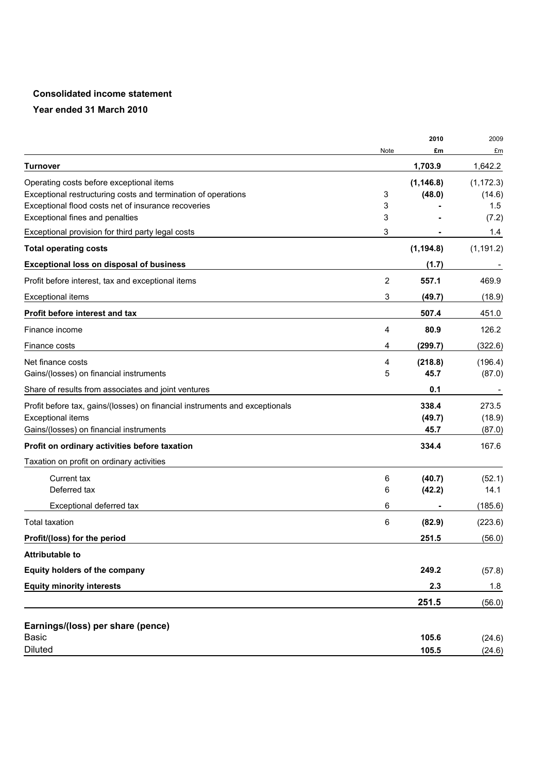## **Consolidated income statement**

|                                                                             |      | 2010       | 2009       |
|-----------------------------------------------------------------------------|------|------------|------------|
|                                                                             | Note | £m         | £m         |
| Turnover                                                                    |      | 1,703.9    | 1,642.2    |
| Operating costs before exceptional items                                    |      | (1, 146.8) | (1, 172.3) |
| Exceptional restructuring costs and termination of operations               | 3    | (48.0)     | (14.6)     |
| Exceptional flood costs net of insurance recoveries                         | 3    |            | 1.5        |
| Exceptional fines and penalties                                             | 3    |            | (7.2)      |
| Exceptional provision for third party legal costs                           | 3    |            | 1.4        |
| <b>Total operating costs</b>                                                |      | (1, 194.8) | (1, 191.2) |
| <b>Exceptional loss on disposal of business</b>                             |      | (1.7)      |            |
| Profit before interest, tax and exceptional items                           | 2    | 557.1      | 469.9      |
| <b>Exceptional items</b>                                                    | 3    | (49.7)     | (18.9)     |
| Profit before interest and tax                                              |      | 507.4      | 451.0      |
| Finance income                                                              | 4    | 80.9       | 126.2      |
| Finance costs                                                               | 4    | (299.7)    | (322.6)    |
| Net finance costs                                                           | 4    | (218.8)    | (196.4)    |
| Gains/(losses) on financial instruments                                     | 5    | 45.7       | (87.0)     |
| Share of results from associates and joint ventures                         |      | 0.1        |            |
| Profit before tax, gains/(losses) on financial instruments and exceptionals |      | 338.4      | 273.5      |
| <b>Exceptional items</b>                                                    |      | (49.7)     | (18.9)     |
| Gains/(losses) on financial instruments                                     |      | 45.7       | (87.0)     |
| Profit on ordinary activities before taxation                               |      | 334.4      | 167.6      |
| Taxation on profit on ordinary activities                                   |      |            |            |
| <b>Current tax</b>                                                          | 6    | (40.7)     | (52.1)     |
| Deferred tax                                                                | 6    | (42.2)     | 14.1       |
| Exceptional deferred tax                                                    | 6    |            | (185.6)    |
| <b>Total taxation</b>                                                       | 6    | (82.9)     | (223.6)    |
| Profit/(loss) for the period                                                |      | 251.5      | (56.0)     |
| <b>Attributable to</b>                                                      |      |            |            |
| Equity holders of the company                                               |      | 249.2      | (57.8)     |
| <b>Equity minority interests</b>                                            |      | 2.3        | 1.8        |
|                                                                             |      | 251.5      | (56.0)     |
| Earnings/(loss) per share (pence)                                           |      |            |            |
| <b>Basic</b>                                                                |      | 105.6      | (24.6)     |
| <b>Diluted</b>                                                              |      | 105.5      | (24.6)     |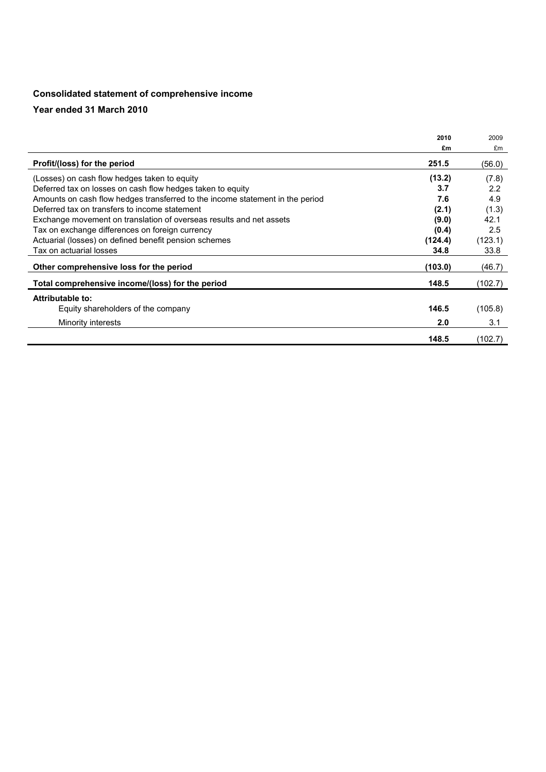## **Consolidated statement of comprehensive income**

|                                                                               | 2010    | 2009    |
|-------------------------------------------------------------------------------|---------|---------|
|                                                                               | £m      | £m      |
| Profit/(loss) for the period                                                  | 251.5   | (56.0)  |
| (Losses) on cash flow hedges taken to equity                                  | (13.2)  | (7.8)   |
| Deferred tax on losses on cash flow hedges taken to equity                    | 3.7     | 2.2     |
| Amounts on cash flow hedges transferred to the income statement in the period | 7.6     | 4.9     |
| Deferred tax on transfers to income statement                                 | (2.1)   | (1.3)   |
| Exchange movement on translation of overseas results and net assets           | (9.0)   | 42.1    |
| Tax on exchange differences on foreign currency                               | (0.4)   | 2.5     |
| Actuarial (losses) on defined benefit pension schemes                         | (124.4) | (123.1) |
| Tax on actuarial losses                                                       | 34.8    | 33.8    |
| Other comprehensive loss for the period                                       | (103.0) | (46.7)  |
| Total comprehensive income/(loss) for the period                              | 148.5   | (102.7) |
| Attributable to:                                                              |         |         |
| Equity shareholders of the company                                            | 146.5   | (105.8) |
| Minority interests                                                            | 2.0     | 3.1     |
|                                                                               | 148.5   | (102.7) |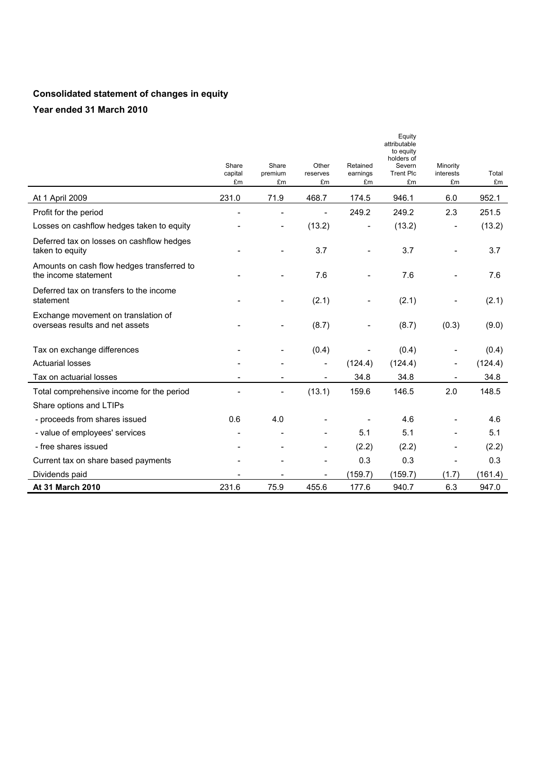# **Consolidated statement of changes in equity**

|                                                                        | Share<br>capital<br>£m   | Share<br>premium<br>£m   | Other<br>reserves<br>£m  | Retained<br>earnings<br>£m | Equity<br>attributable<br>to equity<br>holders of<br>Severn<br><b>Trent Plc</b><br>£m | Minority<br>interests<br>£m | Total<br>£m |
|------------------------------------------------------------------------|--------------------------|--------------------------|--------------------------|----------------------------|---------------------------------------------------------------------------------------|-----------------------------|-------------|
| At 1 April 2009                                                        | 231.0                    | 71.9                     | 468.7                    | 174.5                      | 946.1                                                                                 | 6.0                         | 952.1       |
| Profit for the period                                                  |                          | L,                       | L,                       | 249.2                      | 249.2                                                                                 | 2.3                         | 251.5       |
| Losses on cashflow hedges taken to equity                              |                          | $\overline{\phantom{a}}$ | (13.2)                   | $\overline{\phantom{a}}$   | (13.2)                                                                                | $\qquad \qquad -$           | (13.2)      |
| Deferred tax on losses on cashflow hedges<br>taken to equity           |                          |                          | 3.7                      | $\overline{\phantom{a}}$   | 3.7                                                                                   | $\overline{\phantom{0}}$    | 3.7         |
| Amounts on cash flow hedges transferred to<br>the income statement     |                          |                          | 7.6                      |                            | 7.6                                                                                   |                             | 7.6         |
| Deferred tax on transfers to the income<br>statement                   |                          |                          | (2.1)                    |                            | (2.1)                                                                                 |                             | (2.1)       |
| Exchange movement on translation of<br>overseas results and net assets |                          |                          | (8.7)                    |                            | (8.7)                                                                                 | (0.3)                       | (9.0)       |
| Tax on exchange differences                                            |                          |                          | (0.4)                    |                            | (0.4)                                                                                 |                             | (0.4)       |
| <b>Actuarial losses</b>                                                |                          |                          | $\overline{\phantom{a}}$ | (124.4)                    | (124.4)                                                                               | $\overline{\phantom{a}}$    | (124.4)     |
| Tax on actuarial losses                                                |                          | $\overline{a}$           | $\overline{\phantom{a}}$ | 34.8                       | 34.8                                                                                  | $\overline{\phantom{a}}$    | 34.8        |
| Total comprehensive income for the period                              |                          | $\overline{\phantom{a}}$ | (13.1)                   | 159.6                      | 146.5                                                                                 | 2.0                         | 148.5       |
| Share options and LTIPs                                                |                          |                          |                          |                            |                                                                                       |                             |             |
| - proceeds from shares issued                                          | 0.6                      | 4.0                      |                          |                            | 4.6                                                                                   |                             | 4.6         |
| - value of employees' services                                         | ۰                        |                          |                          | 5.1                        | 5.1                                                                                   | ۰                           | 5.1         |
| - free shares issued                                                   |                          |                          |                          | (2.2)                      | (2.2)                                                                                 |                             | (2.2)       |
| Current tax on share based payments                                    |                          |                          | $\overline{a}$           | 0.3                        | 0.3                                                                                   | $\overline{a}$              | 0.3         |
| Dividends paid                                                         | $\overline{\phantom{a}}$ |                          | $\overline{\phantom{a}}$ | (159.7)                    | (159.7)                                                                               | (1.7)                       | (161.4)     |
| At 31 March 2010                                                       | 231.6                    | 75.9                     | 455.6                    | 177.6                      | 940.7                                                                                 | 6.3                         | 947.0       |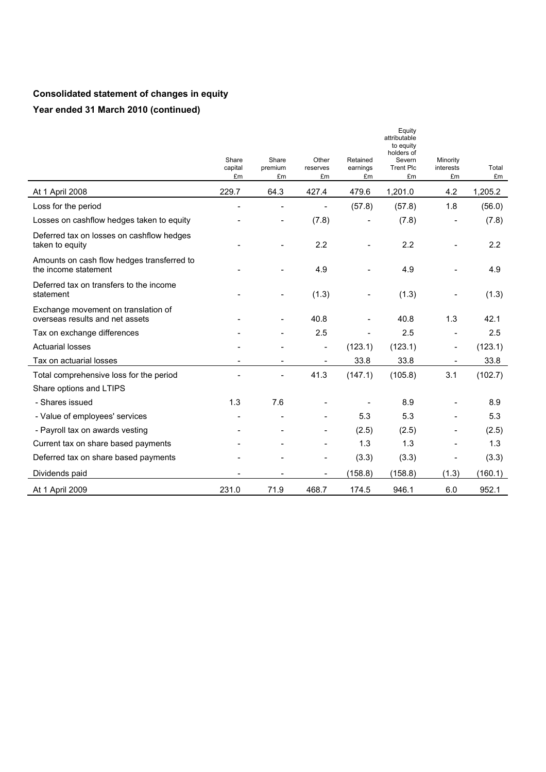# **Consolidated statement of changes in equity Year ended 31 March 2010 (continued)**

|                                                                        | Share<br>capital<br>£m | Share<br>premium<br>£m   | Other<br>reserves<br>£m  | Retained<br>earnings<br>£m | Equity<br>attributable<br>to equity<br>holders of<br>Severn<br><b>Trent Plc</b><br>£m | Minority<br>interests<br>£m | Total<br>£m |
|------------------------------------------------------------------------|------------------------|--------------------------|--------------------------|----------------------------|---------------------------------------------------------------------------------------|-----------------------------|-------------|
| At 1 April 2008                                                        | 229.7                  | 64.3                     | 427.4                    | 479.6                      | 1,201.0                                                                               | 4.2                         | 1,205.2     |
| Loss for the period                                                    |                        |                          |                          | (57.8)                     | (57.8)                                                                                | 1.8                         | (56.0)      |
| Losses on cashflow hedges taken to equity                              |                        | $\overline{\phantom{0}}$ | (7.8)                    |                            | (7.8)                                                                                 | -                           | (7.8)       |
| Deferred tax on losses on cashflow hedges<br>taken to equity           |                        |                          | 2.2                      |                            | 2.2                                                                                   |                             | 2.2         |
| Amounts on cash flow hedges transferred to<br>the income statement     |                        |                          | 4.9                      |                            | 4.9                                                                                   |                             | 4.9         |
| Deferred tax on transfers to the income<br>statement                   |                        |                          | (1.3)                    |                            | (1.3)                                                                                 |                             | (1.3)       |
| Exchange movement on translation of<br>overseas results and net assets |                        |                          | 40.8                     |                            | 40.8                                                                                  | 1.3                         | 42.1        |
| Tax on exchange differences                                            |                        |                          | 2.5                      |                            | 2.5                                                                                   | $\overline{\phantom{a}}$    | 2.5         |
| <b>Actuarial losses</b>                                                |                        |                          | $\qquad \qquad -$        | (123.1)                    | (123.1)                                                                               | $\overline{\phantom{a}}$    | (123.1)     |
| Tax on actuarial losses                                                |                        |                          |                          | 33.8                       | 33.8                                                                                  |                             | 33.8        |
| Total comprehensive loss for the period                                |                        | L,                       | 41.3                     | (147.1)                    | (105.8)                                                                               | 3.1                         | (102.7)     |
| Share options and LTIPS                                                |                        |                          |                          |                            |                                                                                       |                             |             |
| - Shares issued                                                        | 1.3                    | 7.6                      |                          |                            | 8.9                                                                                   |                             | 8.9         |
| - Value of employees' services                                         |                        | $\overline{\phantom{a}}$ |                          | 5.3                        | 5.3                                                                                   |                             | 5.3         |
| - Payroll tax on awards vesting                                        |                        |                          |                          | (2.5)                      | (2.5)                                                                                 |                             | (2.5)       |
| Current tax on share based payments                                    |                        |                          |                          | 1.3                        | 1.3                                                                                   |                             | 1.3         |
| Deferred tax on share based payments                                   |                        |                          | $\overline{\phantom{0}}$ | (3.3)                      | (3.3)                                                                                 | $\overline{\phantom{a}}$    | (3.3)       |
| Dividends paid                                                         |                        |                          | $\overline{\phantom{a}}$ | (158.8)                    | (158.8)                                                                               | (1.3)                       | (160.1)     |
| At 1 April 2009                                                        | 231.0                  | 71.9                     | 468.7                    | 174.5                      | 946.1                                                                                 | 6.0                         | 952.1       |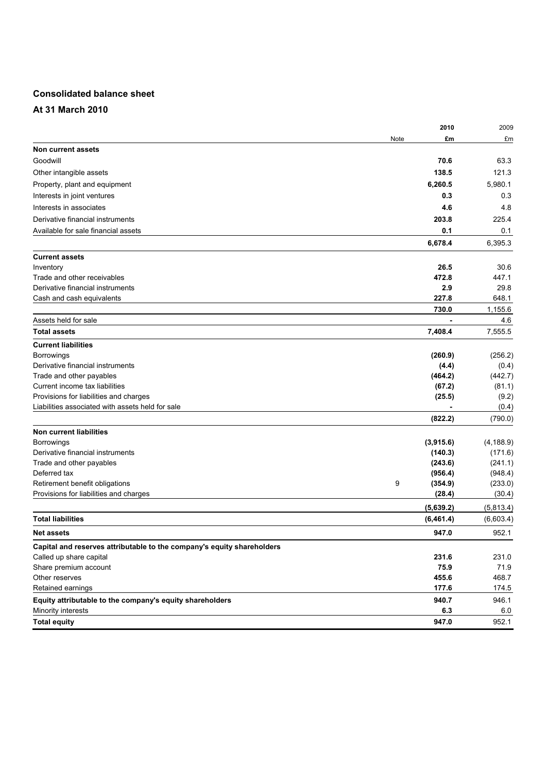## **Consolidated balance sheet**

**At 31 March 2010** 

| 2009       |
|------------|
| £m         |
|            |
| 63.3       |
| 121.3      |
| 5,980.1    |
| 0.3        |
| 4.8        |
| 225.4      |
| 0.1        |
| 6,395.3    |
|            |
| 30.6       |
| 447.1      |
| 29.8       |
| 648.1      |
| 1,155.6    |
| 4.6        |
| 7,555.5    |
|            |
| (256.2)    |
| (0.4)      |
| (442.7)    |
| (81.1)     |
| (9.2)      |
| (0.4)      |
| (790.0)    |
|            |
| (4, 188.9) |
| (171.6)    |
| (241.1)    |
| (948.4)    |
| (233.0)    |
| (30.4)     |
| (5,813.4)  |
| (6,603.4)  |
| 952.1      |
|            |
| 231.0      |
| 71.9       |
| 468.7      |
| 174.5      |
| 946.1      |
| 6.0        |
| 952.1      |
|            |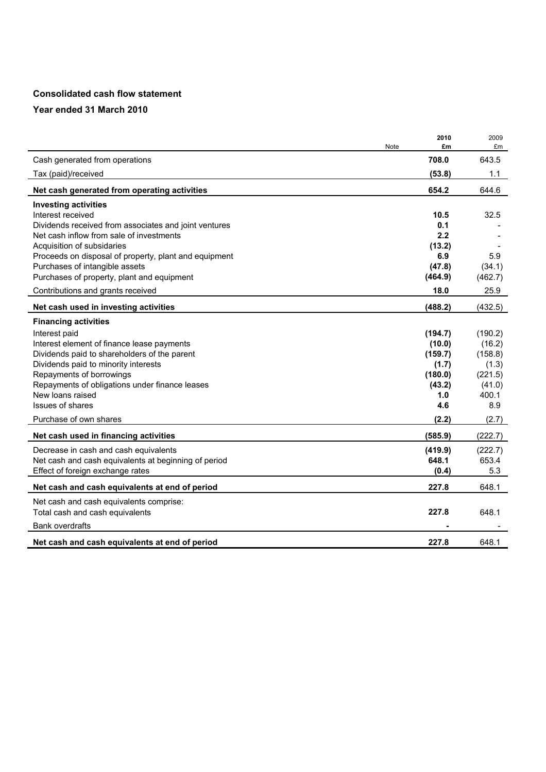### **Consolidated cash flow statement**

|                                                       | 2010    | 2009    |
|-------------------------------------------------------|---------|---------|
| <b>Note</b>                                           | £m      | £m      |
| Cash generated from operations                        | 708.0   | 643.5   |
| Tax (paid)/received                                   | (53.8)  | 1.1     |
| Net cash generated from operating activities          | 654.2   | 644.6   |
| <b>Investing activities</b>                           |         |         |
| Interest received                                     | 10.5    | 32.5    |
| Dividends received from associates and joint ventures | 0.1     |         |
| Net cash inflow from sale of investments              | 2.2     |         |
| Acquisition of subsidaries                            | (13.2)  |         |
| Proceeds on disposal of property, plant and equipment | 6.9     | 5.9     |
| Purchases of intangible assets                        | (47.8)  | (34.1)  |
| Purchases of property, plant and equipment            | (464.9) | (462.7) |
| Contributions and grants received                     | 18.0    | 25.9    |
| Net cash used in investing activities                 | (488.2) | (432.5) |
| <b>Financing activities</b>                           |         |         |
| Interest paid                                         | (194.7) | (190.2) |
| Interest element of finance lease payments            | (10.0)  | (16.2)  |
| Dividends paid to shareholders of the parent          | (159.7) | (158.8) |
| Dividends paid to minority interests                  | (1.7)   | (1.3)   |
| Repayments of borrowings                              | (180.0) | (221.5) |
| Repayments of obligations under finance leases        | (43.2)  | (41.0)  |
| New loans raised                                      | 1.0     | 400.1   |
| Issues of shares                                      | 4.6     | 8.9     |
| Purchase of own shares                                | (2.2)   | (2.7)   |
| Net cash used in financing activities                 | (585.9) | (222.7) |
| Decrease in cash and cash equivalents                 | (419.9) | (222.7) |
| Net cash and cash equivalents at beginning of period  | 648.1   | 653.4   |
|                                                       | (0.4)   | 5.3     |
| Effect of foreign exchange rates                      |         |         |
| Net cash and cash equivalents at end of period        | 227.8   | 648.1   |
| Net cash and cash equivalents comprise:               |         |         |
| Total cash and cash equivalents                       | 227.8   | 648.1   |
| <b>Bank overdrafts</b>                                |         |         |
| Net cash and cash equivalents at end of period        | 227.8   | 648.1   |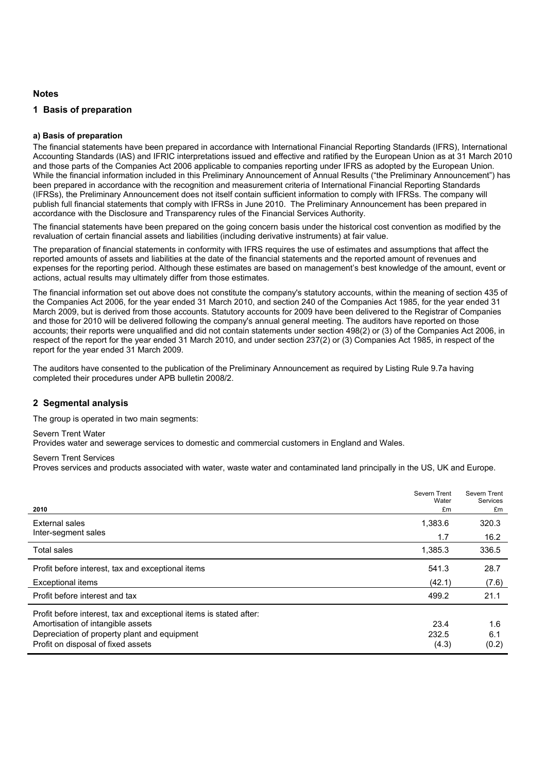#### **Notes**

#### **1 Basis of preparation**

#### **a) Basis of preparation**

The financial statements have been prepared in accordance with International Financial Reporting Standards (IFRS), International Accounting Standards (IAS) and IFRIC interpretations issued and effective and ratified by the European Union as at 31 March 2010 and those parts of the Companies Act 2006 applicable to companies reporting under IFRS as adopted by the European Union. While the financial information included in this Preliminary Announcement of Annual Results ("the Preliminary Announcement") has been prepared in accordance with the recognition and measurement criteria of International Financial Reporting Standards (IFRSs), the Preliminary Announcement does not itself contain sufficient information to comply with IFRSs. The company will publish full financial statements that comply with IFRSs in June 2010. The Preliminary Announcement has been prepared in accordance with the Disclosure and Transparency rules of the Financial Services Authority.

The financial statements have been prepared on the going concern basis under the historical cost convention as modified by the revaluation of certain financial assets and liabilities (including derivative instruments) at fair value.

The preparation of financial statements in conformity with IFRS requires the use of estimates and assumptions that affect the reported amounts of assets and liabilities at the date of the financial statements and the reported amount of revenues and expenses for the reporting period. Although these estimates are based on management's best knowledge of the amount, event or actions, actual results may ultimately differ from those estimates.

The financial information set out above does not constitute the company's statutory accounts, within the meaning of section 435 of the Companies Act 2006, for the year ended 31 March 2010, and section 240 of the Companies Act 1985, for the year ended 31 March 2009, but is derived from those accounts. Statutory accounts for 2009 have been delivered to the Registrar of Companies and those for 2010 will be delivered following the company's annual general meeting. The auditors have reported on those accounts; their reports were unqualified and did not contain statements under section 498(2) or (3) of the Companies Act 2006, in respect of the report for the year ended 31 March 2010, and under section 237(2) or (3) Companies Act 1985, in respect of the report for the year ended 31 March 2009.

The auditors have consented to the publication of the Preliminary Announcement as required by Listing Rule 9.7a having completed their procedures under APB bulletin 2008/2.

#### **2 Segmental analysis**

The group is operated in two main segments:

Severn Trent Water

Provides water and sewerage services to domestic and commercial customers in England and Wales.

Severn Trent Services

Proves services and products associated with water, waste water and contaminated land principally in the US, UK and Europe.

| 2010                                                                                                                                                                                          | Severn Trent<br>Water<br>£m | Severn Trent<br><b>Services</b><br>£m |
|-----------------------------------------------------------------------------------------------------------------------------------------------------------------------------------------------|-----------------------------|---------------------------------------|
| External sales                                                                                                                                                                                | 1,383.6                     | 320.3                                 |
| Inter-segment sales                                                                                                                                                                           | 1.7                         | 16.2                                  |
| <b>Total sales</b>                                                                                                                                                                            | 1,385.3                     | 336.5                                 |
| Profit before interest, tax and exceptional items                                                                                                                                             | 541.3                       | 28.7                                  |
| Exceptional items                                                                                                                                                                             | (42.1)                      | (7.6)                                 |
| Profit before interest and tax                                                                                                                                                                | 499.2                       | 21.1                                  |
| Profit before interest, tax and exceptional items is stated after:<br>Amortisation of intangible assets<br>Depreciation of property plant and equipment<br>Profit on disposal of fixed assets | 23.4<br>232.5<br>(4.3)      | 1.6<br>6.1<br>(0.2)                   |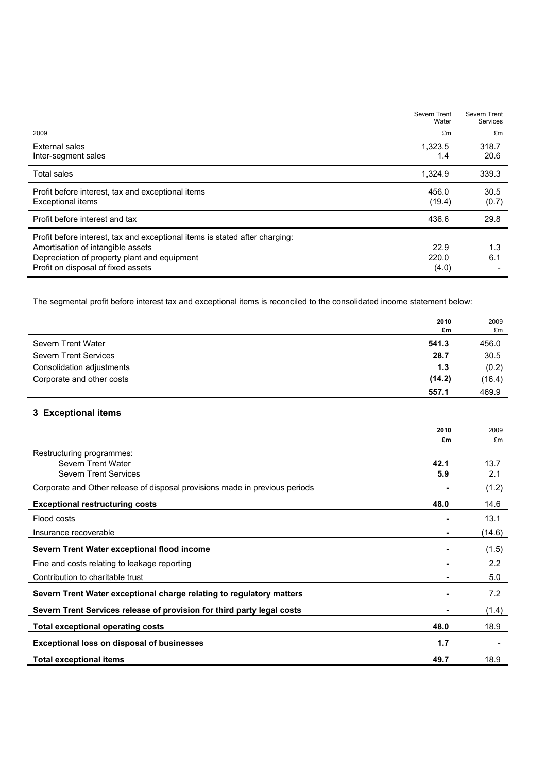|                                                                                                                                                                                                        | Severn Trent<br>Water  | Severn Trent<br><b>Services</b> |
|--------------------------------------------------------------------------------------------------------------------------------------------------------------------------------------------------------|------------------------|---------------------------------|
| 2009                                                                                                                                                                                                   | £m                     | £m                              |
| <b>External sales</b><br>Inter-segment sales                                                                                                                                                           | 1,323.5<br>1.4         | 318.7<br>20.6                   |
| <b>Total sales</b>                                                                                                                                                                                     | 1,324.9                | 339.3                           |
| Profit before interest, tax and exceptional items<br>Exceptional items                                                                                                                                 | 456.0<br>(19.4)        | 30.5<br>(0.7)                   |
| Profit before interest and tax                                                                                                                                                                         | 436.6                  | 29.8                            |
| Profit before interest, tax and exceptional items is stated after charging:<br>Amortisation of intangible assets<br>Depreciation of property plant and equipment<br>Profit on disposal of fixed assets | 22.9<br>220.0<br>(4.0) | 1.3<br>6.1                      |

The segmental profit before interest tax and exceptional items is reconciled to the consolidated income statement below:

|                              | 2010<br>£m | 2009<br>£m |
|------------------------------|------------|------------|
| Severn Trent Water           | 541.3      | 456.0      |
| <b>Severn Trent Services</b> | 28.7       | 30.5       |
| Consolidation adjustments    | 1.3        | (0.2)      |
| Corporate and other costs    | (14.2)     | (16.4)     |
|                              | 557.1      | 469.9      |

## **3 Exceptional items**

|                                                                             | 2010 | 2009          |
|-----------------------------------------------------------------------------|------|---------------|
|                                                                             | £m   | £m            |
| Restructuring programmes:                                                   |      |               |
| Severn Trent Water                                                          | 42.1 | 13.7          |
| <b>Severn Trent Services</b>                                                | 5.9  | 2.1           |
| Corporate and Other release of disposal provisions made in previous periods |      | (1.2)         |
| <b>Exceptional restructuring costs</b>                                      | 48.0 | 14.6          |
| Flood costs                                                                 |      | 13.1          |
| Insurance recoverable                                                       |      | (14.6)        |
| Severn Trent Water exceptional flood income                                 |      | (1.5)         |
| Fine and costs relating to leakage reporting                                |      | $2.2^{\circ}$ |
| Contribution to charitable trust                                            | ۰    | 5.0           |
| Severn Trent Water exceptional charge relating to regulatory matters        |      | 7.2           |
| Severn Trent Services release of provision for third party legal costs      |      | (1.4)         |
| <b>Total exceptional operating costs</b>                                    | 48.0 | 18.9          |
| <b>Exceptional loss on disposal of businesses</b>                           | 1.7  |               |
| <b>Total exceptional items</b>                                              | 49.7 | 18.9          |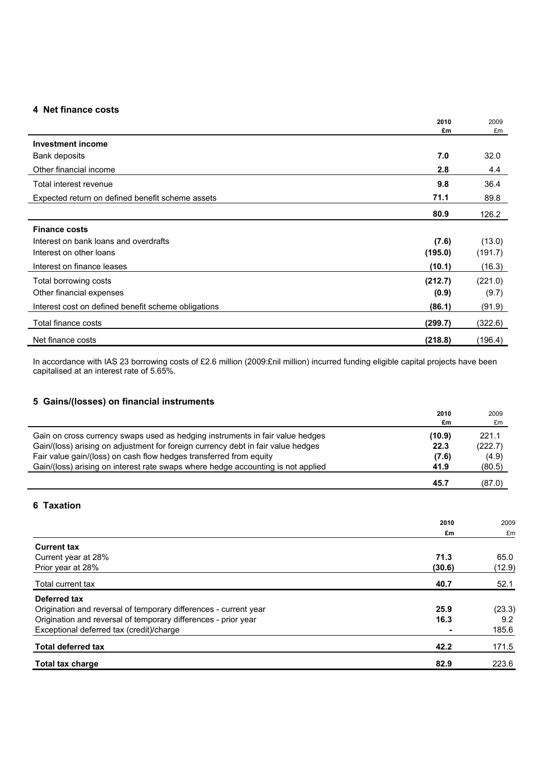### **4 Net finance costs**

|                                                     | 2010    | 2009    |
|-----------------------------------------------------|---------|---------|
|                                                     | £m      | £m      |
| <b>Investment income</b>                            |         |         |
| Bank deposits                                       | 7.0     | 32.0    |
| Other financial income                              | 2.8     | 4.4     |
| Total interest revenue                              | 9.8     | 36.4    |
| Expected return on defined benefit scheme assets    | 71.1    | 89.8    |
|                                                     | 80.9    | 126.2   |
| <b>Finance costs</b>                                |         |         |
| Interest on bank loans and overdrafts               | (7.6)   | (13.0)  |
| Interest on other loans                             | (195.0) | (191.7) |
| Interest on finance leases                          | (10.1)  | (16.3)  |
| Total borrowing costs                               | (212.7) | (221.0) |
| Other financial expenses                            | (0.9)   | (9.7)   |
| Interest cost on defined benefit scheme obligations | (86.1)  | (91.9)  |
| Total finance costs                                 | (299.7) | (322.6) |
| Net finance costs                                   | (218.8) | (196.4) |

In accordance with IAS 23 borrowing costs of £2.6 million (2009:£nil million) incurred funding eligible capital projects have been capitalised at an interest rate of 5.65%.

### **5 Gains/(losses) on financial instruments**

|                                                                                  | 2010<br>£m | 2009<br>£m |
|----------------------------------------------------------------------------------|------------|------------|
| Gain on cross currency swaps used as hedging instruments in fair value hedges    | (10.9)     | 221.1      |
| Gain/(loss) arising on adjustment for foreign currency debt in fair value hedges | 22.3       | (222.7)    |
| Fair value gain/(loss) on cash flow hedges transferred from equity               | (7.6)      | (4.9)      |
| Gain/(loss) arising on interest rate swaps where hedge accounting is not applied | 41.9       | (80.5)     |
|                                                                                  | 45.7       | (87.0)     |
| 6 Taxation                                                                       |            |            |
|                                                                                  | 2010       | 2009       |
|                                                                                  | £m         | £m         |
| <b>Current tax</b>                                                               |            |            |
| Current year at 28%                                                              | 71.3       | 65.0       |
| Prior year at 28%                                                                | (30.6)     | (12.9)     |
| Total current tax                                                                | 40.7       | 52.1       |
| Deferred tax                                                                     |            |            |
| Origination and reversal of temporary differences - current year                 | 25.9       | (23.3)     |
| Origination and reversal of temporary differences - prior year                   | 16.3       | 9.2        |
| Exceptional deferred tax (credit)/charge                                         |            | 185.6      |
| <b>Total deferred tax</b>                                                        | 42.2       | 171.5      |

**Total tax charge 82.9** 223.6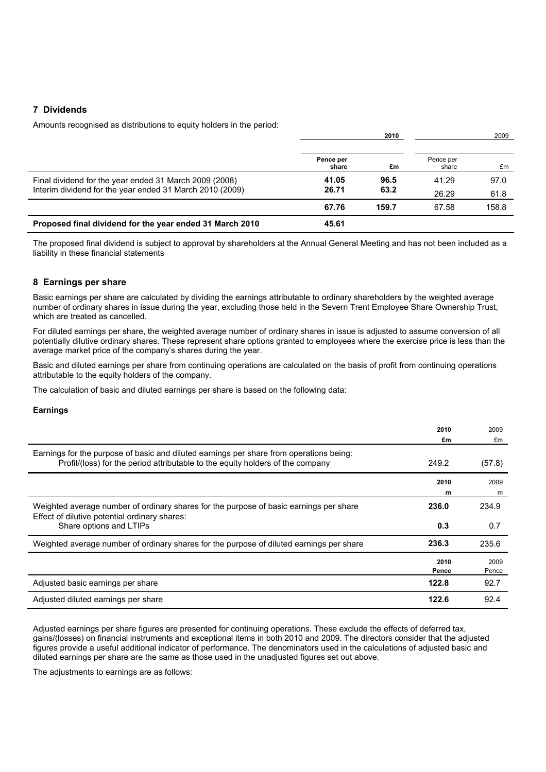#### **7 Dividends**

Amounts recognised as distributions to equity holders in the period:

|                                                          | 2010               |       |                    | 2009  |
|----------------------------------------------------------|--------------------|-------|--------------------|-------|
|                                                          | Pence per<br>share | £m    | Pence per<br>share | £m    |
| Final dividend for the year ended 31 March 2009 (2008)   | 41.05              | 96.5  | 41.29              | 97.0  |
| Interim dividend for the year ended 31 March 2010 (2009) | 26.71              | 63.2  | 26.29              | 61.8  |
|                                                          | 67.76              | 159.7 | 67.58              | 158.8 |
| Proposed final dividend for the year ended 31 March 2010 | 45.61              |       |                    |       |

The proposed final dividend is subject to approval by shareholders at the Annual General Meeting and has not been included as a liability in these financial statements

#### **8 Earnings per share**

Basic earnings per share are calculated by dividing the earnings attributable to ordinary shareholders by the weighted average number of ordinary shares in issue during the year, excluding those held in the Severn Trent Employee Share Ownership Trust, which are treated as cancelled.

For diluted earnings per share, the weighted average number of ordinary shares in issue is adjusted to assume conversion of all potentially dilutive ordinary shares. These represent share options granted to employees where the exercise price is less than the average market price of the company's shares during the year.

Basic and diluted earnings per share from continuing operations are calculated on the basis of profit from continuing operations attributable to the equity holders of the company.

The calculation of basic and diluted earnings per share is based on the following data:

#### **Earnings**

|                                                                                                                                                                           | 2010  | 2009   |
|---------------------------------------------------------------------------------------------------------------------------------------------------------------------------|-------|--------|
|                                                                                                                                                                           | £m    | £m     |
| Earnings for the purpose of basic and diluted earnings per share from operations being:<br>Profit/(loss) for the period attributable to the equity holders of the company | 249.2 | (57.8) |
|                                                                                                                                                                           | 2010  | 2009   |
|                                                                                                                                                                           | m     | m      |
| Weighted average number of ordinary shares for the purpose of basic earnings per share<br>Effect of dilutive potential ordinary shares:                                   | 236.0 | 234.9  |
| Share options and LTIPs                                                                                                                                                   | 0.3   | 0.7    |
| Weighted average number of ordinary shares for the purpose of diluted earnings per share                                                                                  | 236.3 | 235.6  |
|                                                                                                                                                                           | 2010  | 2009   |
|                                                                                                                                                                           | Pence | Pence  |
| Adjusted basic earnings per share                                                                                                                                         | 122.8 | 92.7   |
| Adjusted diluted earnings per share                                                                                                                                       | 122.6 | 92.4   |

Adjusted earnings per share figures are presented for continuing operations. These exclude the effects of deferred tax, gains/(losses) on financial instruments and exceptional items in both 2010 and 2009. The directors consider that the adjusted figures provide a useful additional indicator of performance. The denominators used in the calculations of adjusted basic and diluted earnings per share are the same as those used in the unadjusted figures set out above.

The adjustments to earnings are as follows: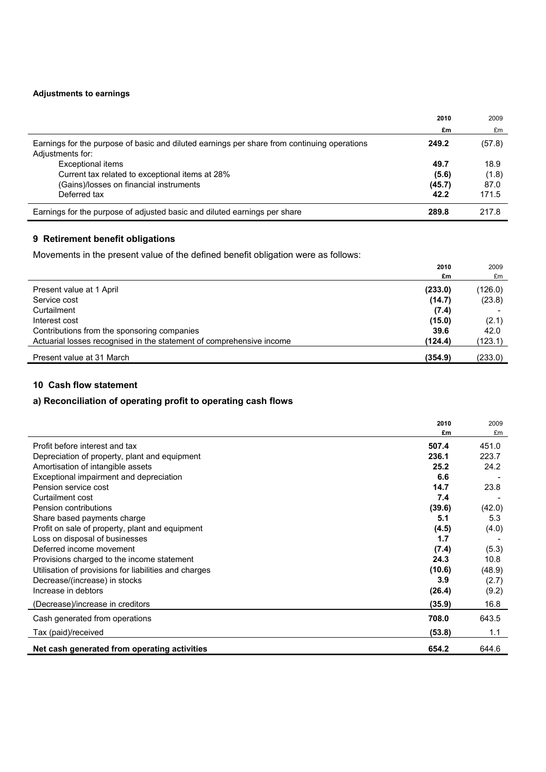### **Adjustments to earnings**

|                                                                                                                 | 2010           | 2009          |
|-----------------------------------------------------------------------------------------------------------------|----------------|---------------|
|                                                                                                                 | £m             | £m            |
| Earnings for the purpose of basic and diluted earnings per share from continuing operations<br>Adjustments for: | 249.2          | (57.8)        |
| Exceptional items<br>Current tax related to exceptional items at 28%                                            | 49.7<br>(5.6)  | 18.9<br>(1.8) |
| (Gains)/losses on financial instruments<br>Deferred tax                                                         | (45.7)<br>42.2 | 87.0<br>171.5 |
| Earnings for the purpose of adjusted basic and diluted earnings per share                                       | 289.8          | 217.8         |

## **9 Retirement benefit obligations**

Movements in the present value of the defined benefit obligation were as follows:

|                                                                      | 2010    | 2009    |
|----------------------------------------------------------------------|---------|---------|
|                                                                      | £m      | £m      |
| Present value at 1 April                                             | (233.0) | (126.0) |
| Service cost                                                         | (14.7)  | (23.8)  |
| Curtailment                                                          | (7.4)   |         |
| Interest cost                                                        | (15.0)  | (2.1)   |
| Contributions from the sponsoring companies                          | 39.6    | 42.0    |
| Actuarial losses recognised in the statement of comprehensive income | (124.4) | (123.1) |
| Present value at 31 March                                            | (354.9) | (233.0) |

### **10 Cash flow statement**

## **a) Reconciliation of operating profit to operating cash flows**

|                                                       | 2010<br>£m | 2009<br>£m |
|-------------------------------------------------------|------------|------------|
| Profit before interest and tax                        | 507.4      | 451.0      |
| Depreciation of property, plant and equipment         | 236.1      | 223.7      |
| Amortisation of intangible assets                     | 25.2       | 24.2       |
| Exceptional impairment and depreciation               | 6.6        |            |
| Pension service cost                                  | 14.7       | 23.8       |
| Curtailment cost                                      | 7.4        |            |
| Pension contributions                                 | (39.6)     | (42.0)     |
| Share based payments charge                           | 5.1        | 5.3        |
| Profit on sale of property, plant and equipment       | (4.5)      | (4.0)      |
| Loss on disposal of businesses                        | 1.7        |            |
| Deferred income movement                              | (7.4)      | (5.3)      |
| Provisions charged to the income statement            | 24.3       | 10.8       |
| Utilisation of provisions for liabilities and charges | (10.6)     | (48.9)     |
| Decrease/(increase) in stocks                         | 3.9        | (2.7)      |
| Increase in debtors                                   | (26.4)     | (9.2)      |
| (Decrease)/increase in creditors                      | (35.9)     | 16.8       |
| Cash generated from operations                        | 708.0      | 643.5      |
| Tax (paid)/received                                   | (53.8)     | 1.1        |
| Net cash generated from operating activities          | 654.2      | 644.6      |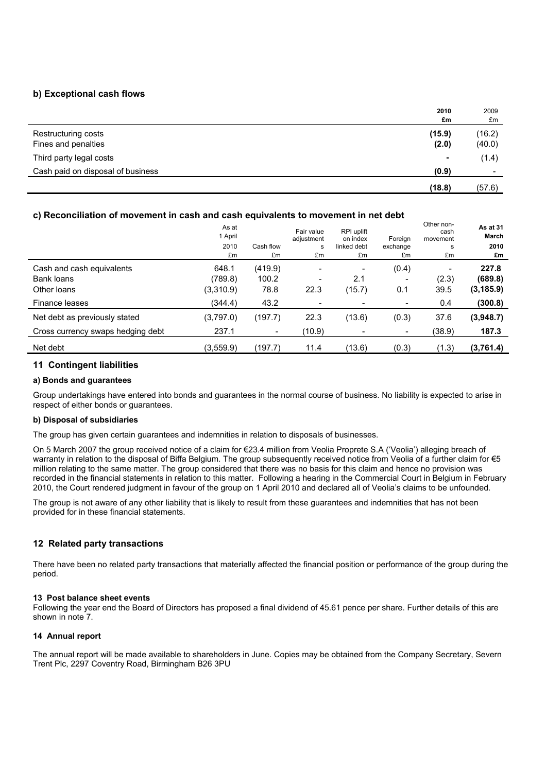#### **b) Exceptional cash flows**

|                                            | 2010<br>£m      | 2009<br>£m               |
|--------------------------------------------|-----------------|--------------------------|
| Restructuring costs<br>Fines and penalties | (15.9)<br>(2.0) | (16.2)<br>(40.0)         |
| Third party legal costs                    | ۰               | (1.4)                    |
| Cash paid on disposal of business          | (0.9)           | $\overline{\phantom{0}}$ |
|                                            | (18.8)          | (57.6)                   |

#### **c) Reconciliation of movement in cash and cash equivalents to movement in net debt**

|                                                                    | As at<br>1 April<br>2010<br>£m | Cash flow<br>£m                     | Fair value<br>adjustment<br>s<br>£m | RPI uplift<br>on index<br>linked debt<br>£m | Foreign<br>exchange<br>£m | <b>UUIT IUIT</b><br>cash<br>movement<br>s<br>£m | As at 31<br>March<br>2010<br>£m |
|--------------------------------------------------------------------|--------------------------------|-------------------------------------|-------------------------------------|---------------------------------------------|---------------------------|-------------------------------------------------|---------------------------------|
| Cash and cash equivalents<br>Bank loans<br>Other loans             | 648.1<br>(789.8)<br>(3,310.9)  | (419.9)<br>100.2<br>78.8            | ۰<br>۰<br>22.3                      | -<br>2.1<br>(15.7)                          | (0.4)<br>0.1              | (2.3)<br>39.5                                   | 227.8<br>(689.8)<br>(3, 185.9)  |
| Finance leases                                                     | (344.4)                        | 43.2                                | $\overline{\phantom{a}}$            |                                             |                           | 0.4                                             | (300.8)                         |
| Net debt as previously stated<br>Cross currency swaps hedging debt | (3,797.0)<br>237.1             | (197.7)<br>$\overline{\phantom{a}}$ | 22.3<br>(10.9)                      | (13.6)                                      | (0.3)                     | 37.6<br>(38.9)                                  | (3,948.7)<br>187.3              |
| Net debt                                                           | (3,559.9)                      | (197.7)                             | 11.4                                | (13.6)                                      | (0.3)                     | (1.3)                                           | (3,761.4)                       |

Other non-

#### **11 Contingent liabilities**

#### **a) Bonds and guarantees**

Group undertakings have entered into bonds and guarantees in the normal course of business. No liability is expected to arise in respect of either bonds or guarantees.

#### **b) Disposal of subsidiaries**

The group has given certain guarantees and indemnities in relation to disposals of businesses.

On 5 March 2007 the group received notice of a claim for €23.4 million from Veolia Proprete S.A ('Veolia') alleging breach of warranty in relation to the disposal of Biffa Belgium. The group subsequently received notice from Veolia of a further claim for €5 million relating to the same matter. The group considered that there was no basis for this claim and hence no provision was recorded in the financial statements in relation to this matter. Following a hearing in the Commercial Court in Belgium in February 2010, the Court rendered judgment in favour of the group on 1 April 2010 and declared all of Veolia's claims to be unfounded.

The group is not aware of any other liability that is likely to result from these guarantees and indemnities that has not been provided for in these financial statements.

#### **12 Related party transactions**

There have been no related party transactions that materially affected the financial position or performance of the group during the period.

#### **13 Post balance sheet events**

Following the year end the Board of Directors has proposed a final dividend of 45.61 pence per share. Further details of this are shown in note 7.

#### **14 Annual report**

The annual report will be made available to shareholders in June. Copies may be obtained from the Company Secretary, Severn Trent Plc, 2297 Coventry Road, Birmingham B26 3PU